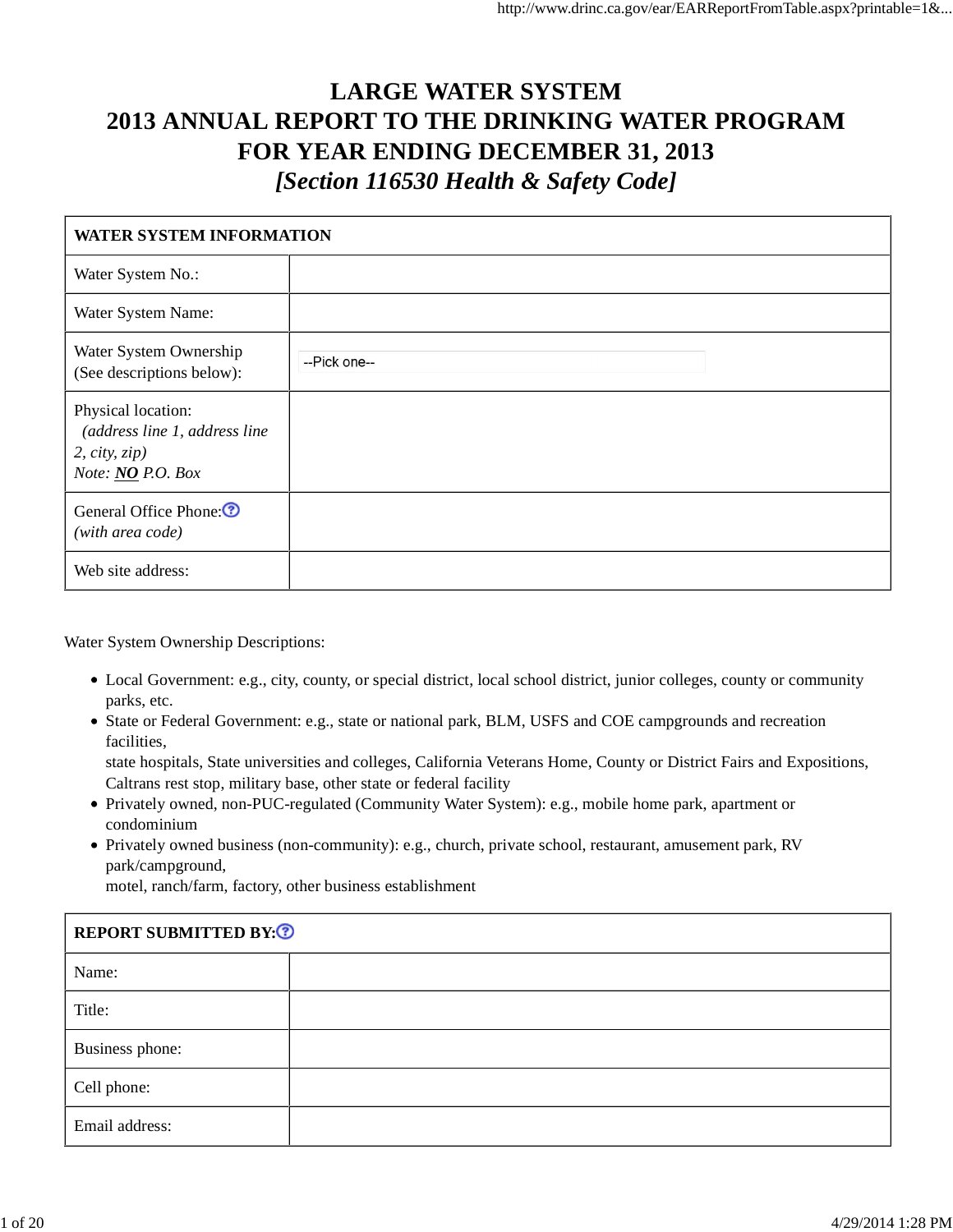# **LARGE WATER SYSTEM 2013 ANNUAL REPORT TO THE DRINKING WATER PROGRAM FOR YEAR ENDING DECEMBER 31, 2013** *[Section 116530 Health & Safety Code]*

| <b>WATER SYSTEM INFORMATION</b>                                                           |              |  |  |  |  |
|-------------------------------------------------------------------------------------------|--------------|--|--|--|--|
| Water System No.:                                                                         |              |  |  |  |  |
| Water System Name:                                                                        |              |  |  |  |  |
| Water System Ownership<br>(See descriptions below):                                       | --Pick one-- |  |  |  |  |
| Physical location:<br>(address line 1, address line<br>2, city, zip)<br>Note: NO P.O. Box |              |  |  |  |  |
| General Office Phone: <sup>1</sup><br>(with area code)                                    |              |  |  |  |  |
| Web site address:                                                                         |              |  |  |  |  |

Water System Ownership Descriptions:

- Local Government: e.g., city, county, or special district, local school district, junior colleges, county or community parks, etc.
- State or Federal Government: e.g., state or national park, BLM, USFS and COE campgrounds and recreation facilities,

state hospitals, State universities and colleges, California Veterans Home, County or District Fairs and Expositions, Caltrans rest stop, military base, other state or federal facility

- Privately owned, non-PUC-regulated (Community Water System): e.g., mobile home park, apartment or condominium
- Privately owned business (non-community): e.g., church, private school, restaurant, amusement park, RV park/campground,

motel, ranch/farm, factory, other business establishment

| <b>REPORT SUBMITTED BY: ?</b> |  |
|-------------------------------|--|
| Name:                         |  |
| Title:                        |  |
| Business phone:               |  |
| Cell phone:                   |  |
| Email address:                |  |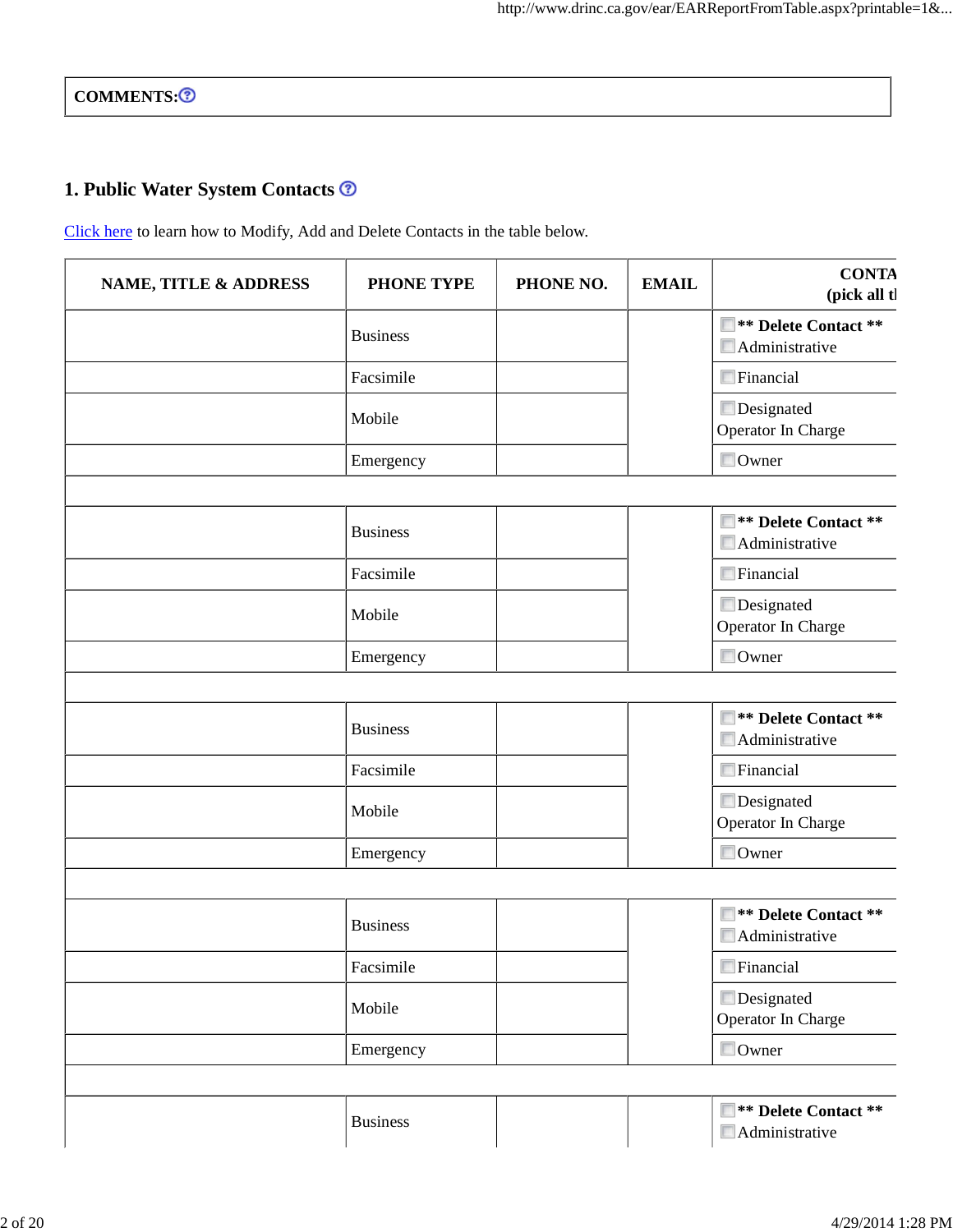COMMENTS:<sup>3</sup>

## **1. Public Water System Contacts**

Click here to learn how to Modify, Add and Delete Contacts in the table below.

| <b>NAME, TITLE &amp; ADDRESS</b> | <b>PHONE TYPE</b> | PHONE NO. | <b>EMAIL</b> | <b>CONTA</b><br>(pick all tl                    |
|----------------------------------|-------------------|-----------|--------------|-------------------------------------------------|
|                                  | <b>Business</b>   |           |              | <b>E</b> ** Delete Contact **<br>Administrative |
|                                  | Facsimile         |           |              | Financial                                       |
|                                  | Mobile            |           |              | Designated<br>Operator In Charge                |
|                                  | Emergency         |           |              | Owner                                           |
|                                  |                   |           |              |                                                 |
|                                  | <b>Business</b>   |           |              | <b>E</b> ** Delete Contact **<br>Administrative |
|                                  | Facsimile         |           |              | Financial                                       |
|                                  | Mobile            |           |              | Designated<br>Operator In Charge                |
|                                  | Emergency         |           |              | Owner                                           |
|                                  |                   |           |              |                                                 |
|                                  | <b>Business</b>   |           |              | <b>E</b> ** Delete Contact **<br>Administrative |
|                                  | Facsimile         |           |              | Financial                                       |
|                                  | Mobile            |           |              | Designated<br>Operator In Charge                |
|                                  | Emergency         |           |              | Owner                                           |
|                                  |                   |           |              |                                                 |
|                                  | <b>Business</b>   |           |              | <b>E</b> ** Delete Contact **<br>Administrative |
|                                  | Facsimile         |           |              | $\blacksquare$ Financial                        |
|                                  | Mobile            |           |              | Designated<br>Operator In Charge                |
|                                  | Emergency         |           |              | Owner                                           |
|                                  |                   |           |              |                                                 |
|                                  | <b>Business</b>   |           |              | <b>E</b> ** Delete Contact **<br>Administrative |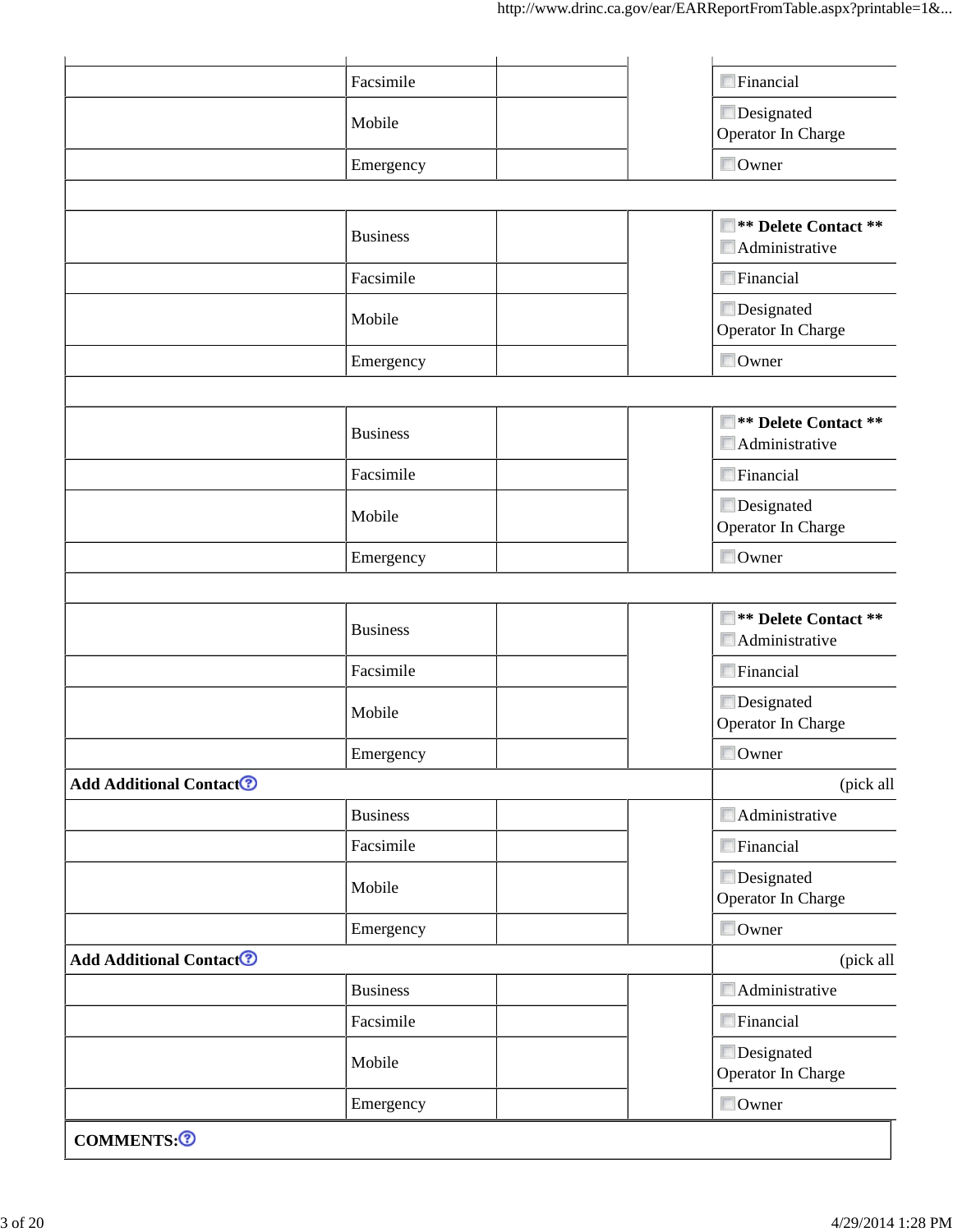| COMMENTS: <sup>7</sup>                    |                     |                                                         |
|-------------------------------------------|---------------------|---------------------------------------------------------|
|                                           | Emergency           | Owner                                                   |
|                                           | Mobile              | Designated<br>Operator In Charge                        |
|                                           | Facsimile           | $\blacksquare$ Financial                                |
|                                           | <b>Business</b>     | $\blacksquare$ Administrative                           |
| <b>Add Additional Contact<sup>7</sup></b> |                     | (pick all                                               |
|                                           | Emergency           | Owner                                                   |
|                                           | Mobile              | Designated<br>Operator In Charge                        |
|                                           | Facsimile           | $\blacksquare$ Financial                                |
|                                           | <b>Business</b>     | $\blacksquare$ Administrative                           |
| <b>Add Additional Contact<sup>®</sup></b> |                     | (pick all                                               |
|                                           | Emergency           | Owner                                                   |
|                                           | Mobile              | Designated<br>Operator In Charge                        |
|                                           | Facsimile           | $\blacksquare$ Financial                                |
|                                           | <b>Business</b>     | <b>E</b> ** Delete Contact **<br>Administrative         |
|                                           |                     |                                                         |
|                                           | Emergency           | Operator In Charge<br>Owner                             |
|                                           | Mobile              | Designated                                              |
|                                           | Facsimile           | $\blacksquare$ Financial                                |
|                                           | <b>Business</b>     | ■ ** Delete Contact **<br>$\blacksquare$ Administrative |
|                                           |                     |                                                         |
|                                           | Mobile<br>Emergency | Operator In Charge<br>Owner                             |
|                                           | Facsimile           | Financial<br>Designated                                 |
|                                           |                     | $\blacksquare$ Administrative                           |
|                                           | <b>Business</b>     | <b>E</b> ** Delete Contact **                           |
|                                           |                     |                                                         |
|                                           | Emergency           | Operator In Charge<br>Owner                             |
|                                           | Mobile              | Designated                                              |
|                                           | Facsimile           | $\Box$ Financial                                        |
|                                           |                     |                                                         |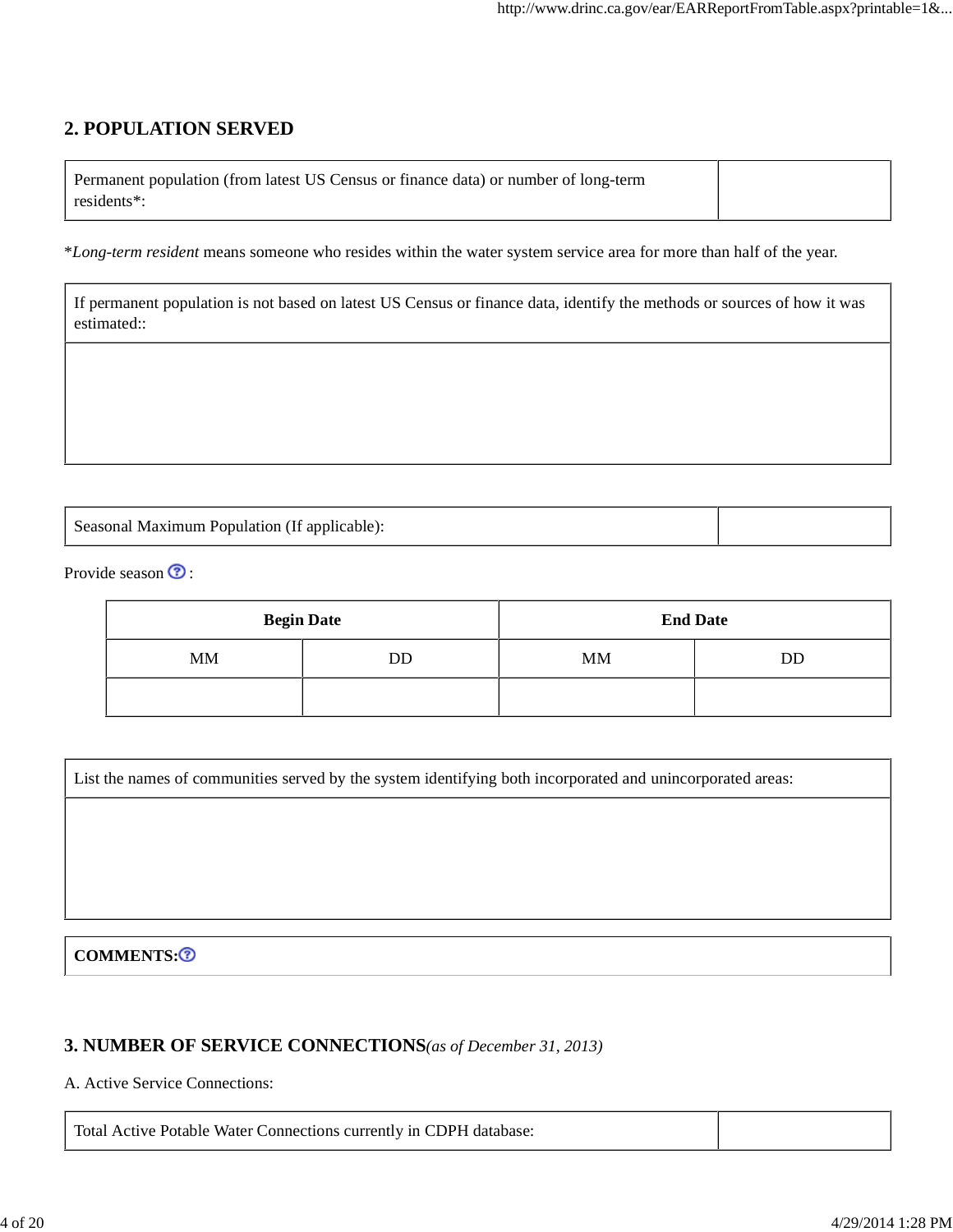## **2. POPULATION SERVED**

| Permanent population (from latest US Census or finance data) or number of long-term |  |
|-------------------------------------------------------------------------------------|--|
| residents <sup>*</sup> :                                                            |  |

\**Long-term resident* means someone who resides within the water system service area for more than half of the year.

| If permanent population is not based on latest US Census or finance data, identify the methods or sources of how it was |
|-------------------------------------------------------------------------------------------------------------------------|
| estimated::                                                                                                             |

Seasonal Maximum Population (If applicable):

Provide season  $\odot$  :

|           | <b>Begin Date</b> |           | <b>End Date</b> |
|-----------|-------------------|-----------|-----------------|
| <b>MM</b> | DD                | <b>MM</b> | DD              |
|           |                   |           |                 |

List the names of communities served by the system identifying both incorporated and unincorporated areas:

#### COMMENTS:<sup>3</sup>

#### **3. NUMBER OF SERVICE CONNECTIONS***(as of December 31, 2013)*

A. Active Service Connections:

Total Active Potable Water Connections currently in CDPH database: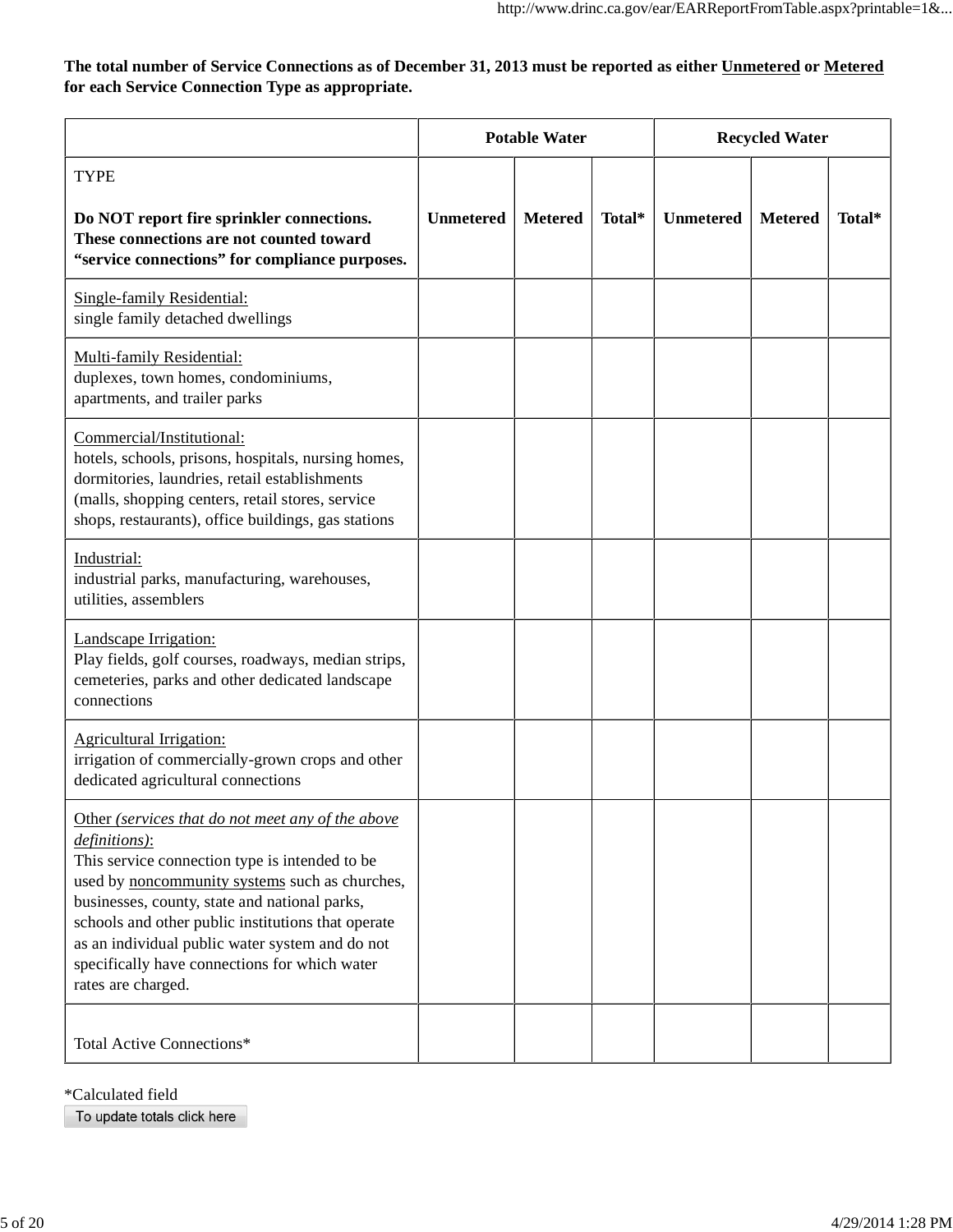**The total number of Service Connections as of December 31, 2013 must be reported as either Unmetered or Metered for each Service Connection Type as appropriate.**

|                                                                                                                                                                                                                                                                                                                                                                                                         | <b>Potable Water</b> |                |        | <b>Recycled Water</b> |                |        |
|---------------------------------------------------------------------------------------------------------------------------------------------------------------------------------------------------------------------------------------------------------------------------------------------------------------------------------------------------------------------------------------------------------|----------------------|----------------|--------|-----------------------|----------------|--------|
| <b>TYPE</b><br>Do NOT report fire sprinkler connections.<br>These connections are not counted toward<br>"service connections" for compliance purposes.                                                                                                                                                                                                                                                  | <b>Unmetered</b>     | <b>Metered</b> | Total* | <b>Unmetered</b>      | <b>Metered</b> | Total* |
| Single-family Residential:<br>single family detached dwellings                                                                                                                                                                                                                                                                                                                                          |                      |                |        |                       |                |        |
| Multi-family Residential:<br>duplexes, town homes, condominiums,<br>apartments, and trailer parks                                                                                                                                                                                                                                                                                                       |                      |                |        |                       |                |        |
| Commercial/Institutional:<br>hotels, schools, prisons, hospitals, nursing homes,<br>dormitories, laundries, retail establishments<br>(malls, shopping centers, retail stores, service<br>shops, restaurants), office buildings, gas stations                                                                                                                                                            |                      |                |        |                       |                |        |
| Industrial:<br>industrial parks, manufacturing, warehouses,<br>utilities, assemblers                                                                                                                                                                                                                                                                                                                    |                      |                |        |                       |                |        |
| Landscape Irrigation:<br>Play fields, golf courses, roadways, median strips,<br>cemeteries, parks and other dedicated landscape<br>connections                                                                                                                                                                                                                                                          |                      |                |        |                       |                |        |
| Agricultural Irrigation:<br>irrigation of commercially-grown crops and other<br>dedicated agricultural connections                                                                                                                                                                                                                                                                                      |                      |                |        |                       |                |        |
| Other (services that do not meet any of the above<br>definitions):<br>This service connection type is intended to be<br>used by noncommunity systems such as churches,<br>businesses, county, state and national parks,<br>schools and other public institutions that operate<br>as an individual public water system and do not<br>specifically have connections for which water<br>rates are charged. |                      |                |        |                       |                |        |
| <b>Total Active Connections*</b>                                                                                                                                                                                                                                                                                                                                                                        |                      |                |        |                       |                |        |

\*Calculated field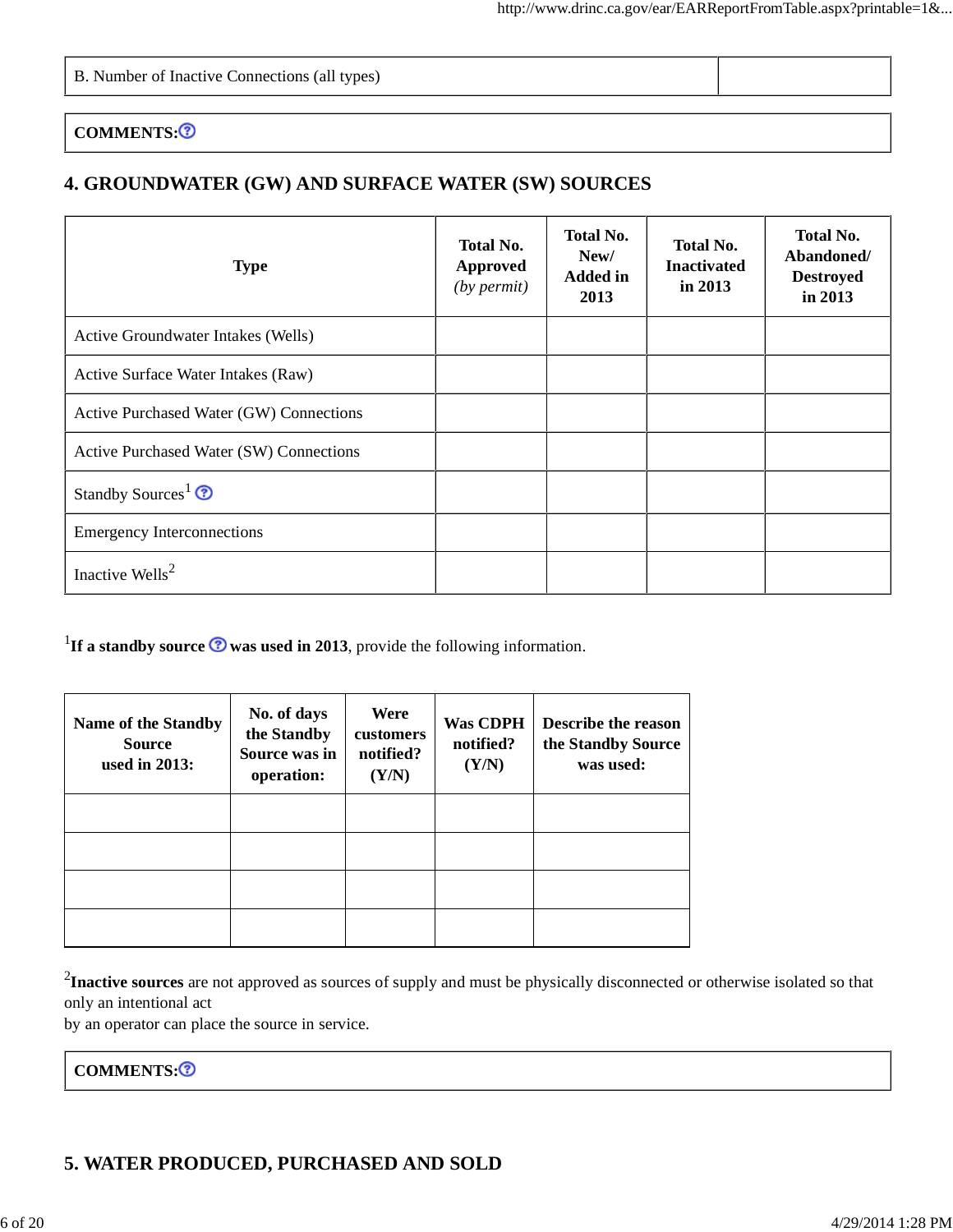#### COMMENTS:<sup>3</sup>

## **4. GROUNDWATER (GW) AND SURFACE WATER (SW) SOURCES**

| <b>Type</b>                             | <b>Total No.</b><br>Approved<br>$(by$ permit) | <b>Total No.</b><br>New/<br><b>Added in</b><br>2013 | <b>Total No.</b><br><b>Inactivated</b><br>in 2013 | <b>Total No.</b><br>Abandoned/<br><b>Destroyed</b><br>in 2013 |
|-----------------------------------------|-----------------------------------------------|-----------------------------------------------------|---------------------------------------------------|---------------------------------------------------------------|
| Active Groundwater Intakes (Wells)      |                                               |                                                     |                                                   |                                                               |
| Active Surface Water Intakes (Raw)      |                                               |                                                     |                                                   |                                                               |
| Active Purchased Water (GW) Connections |                                               |                                                     |                                                   |                                                               |
| Active Purchased Water (SW) Connections |                                               |                                                     |                                                   |                                                               |
| Standby Sources <sup>1</sup> $\odot$    |                                               |                                                     |                                                   |                                                               |
| <b>Emergency Interconnections</b>       |                                               |                                                     |                                                   |                                                               |
| Inactive Wells <sup>2</sup>             |                                               |                                                     |                                                   |                                                               |

<sup>1</sup>If a standby source  $\odot$  was used in 2013, provide the following information.

| <b>Name of the Standby</b><br><b>Source</b><br>used in $2013$ : | No. of days<br>the Standby<br>Source was in<br>operation: | Were<br>customers<br>notified?<br>(Y/N) | <b>Was CDPH</b><br>notified?<br>(Y/N) | <b>Describe the reason</b><br>the Standby Source<br>was used: |
|-----------------------------------------------------------------|-----------------------------------------------------------|-----------------------------------------|---------------------------------------|---------------------------------------------------------------|
|                                                                 |                                                           |                                         |                                       |                                                               |
|                                                                 |                                                           |                                         |                                       |                                                               |
|                                                                 |                                                           |                                         |                                       |                                                               |
|                                                                 |                                                           |                                         |                                       |                                                               |

2 **Inactive sources** are not approved as sources of supply and must be physically disconnected or otherwise isolated so that only an intentional act

by an operator can place the source in service.

COMMENTS:<sup>3</sup>

### **5. WATER PRODUCED, PURCHASED AND SOLD**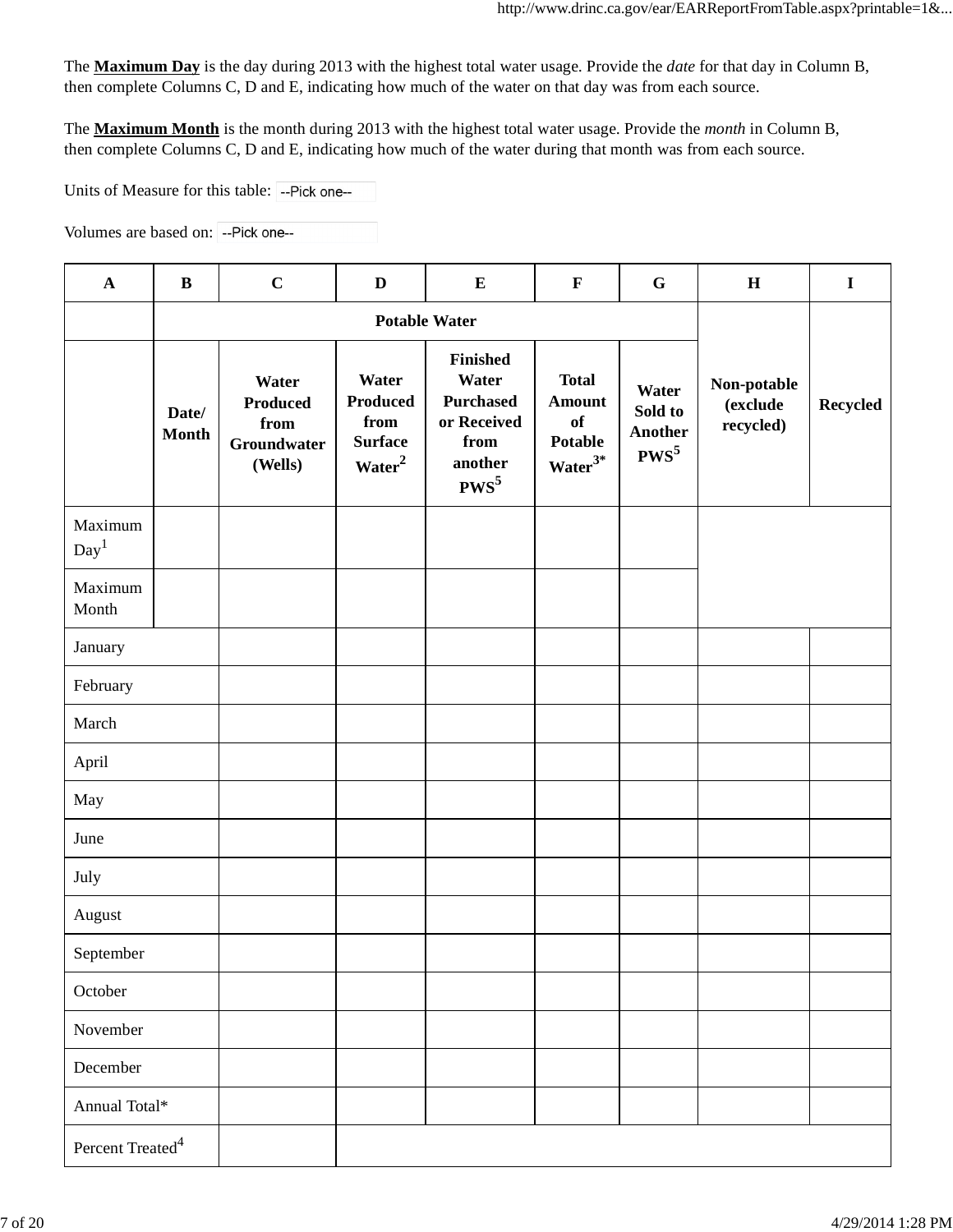The **Maximum Day** is the day during 2013 with the highest total water usage. Provide the *date* for that day in Column B, then complete Columns C, D and E, indicating how much of the water on that day was from each source.

The **Maximum Month** is the month during 2013 with the highest total water usage. Provide the *month* in Column B, then complete Columns C, D and E, indicating how much of the water during that month was from each source.

Units of Measure for this table: -- Pick one--

Volumes are based on: -- Pick one--

| $\mathbf{A}$                 | $\bf{B}$              | $\mathbf C$                                                | D                                                                        | ${\bf E}$                                                                          | $\mathbf{F}$                                                | $\mathbf G$                            | $\mathbf H$                          | $\mathbf I$     |
|------------------------------|-----------------------|------------------------------------------------------------|--------------------------------------------------------------------------|------------------------------------------------------------------------------------|-------------------------------------------------------------|----------------------------------------|--------------------------------------|-----------------|
|                              | <b>Potable Water</b>  |                                                            |                                                                          |                                                                                    |                                                             |                                        |                                      |                 |
|                              | Date/<br><b>Month</b> | Water<br><b>Produced</b><br>from<br>Groundwater<br>(Wells) | Water<br><b>Produced</b><br>from<br><b>Surface</b><br>Water <sup>2</sup> | Finished<br>Water<br><b>Purchased</b><br>or Received<br>from<br>another<br>$PWS^5$ | <b>Total</b><br><b>Amount</b><br>of<br>Potable<br>$Water3*$ | Water<br>Sold to<br>Another<br>$PWS^5$ | Non-potable<br>(exclude<br>recycled) | <b>Recycled</b> |
| Maximum<br>Day <sup>1</sup>  |                       |                                                            |                                                                          |                                                                                    |                                                             |                                        |                                      |                 |
| Maximum<br>Month             |                       |                                                            |                                                                          |                                                                                    |                                                             |                                        |                                      |                 |
| January                      |                       |                                                            |                                                                          |                                                                                    |                                                             |                                        |                                      |                 |
| February                     |                       |                                                            |                                                                          |                                                                                    |                                                             |                                        |                                      |                 |
| March                        |                       |                                                            |                                                                          |                                                                                    |                                                             |                                        |                                      |                 |
| April                        |                       |                                                            |                                                                          |                                                                                    |                                                             |                                        |                                      |                 |
| May                          |                       |                                                            |                                                                          |                                                                                    |                                                             |                                        |                                      |                 |
| June                         |                       |                                                            |                                                                          |                                                                                    |                                                             |                                        |                                      |                 |
| July                         |                       |                                                            |                                                                          |                                                                                    |                                                             |                                        |                                      |                 |
| August                       |                       |                                                            |                                                                          |                                                                                    |                                                             |                                        |                                      |                 |
| September                    |                       |                                                            |                                                                          |                                                                                    |                                                             |                                        |                                      |                 |
| October                      |                       |                                                            |                                                                          |                                                                                    |                                                             |                                        |                                      |                 |
| November                     |                       |                                                            |                                                                          |                                                                                    |                                                             |                                        |                                      |                 |
| December                     |                       |                                                            |                                                                          |                                                                                    |                                                             |                                        |                                      |                 |
| Annual Total*                |                       |                                                            |                                                                          |                                                                                    |                                                             |                                        |                                      |                 |
| Percent $\mathrm{Treated}^4$ |                       |                                                            |                                                                          |                                                                                    |                                                             |                                        |                                      |                 |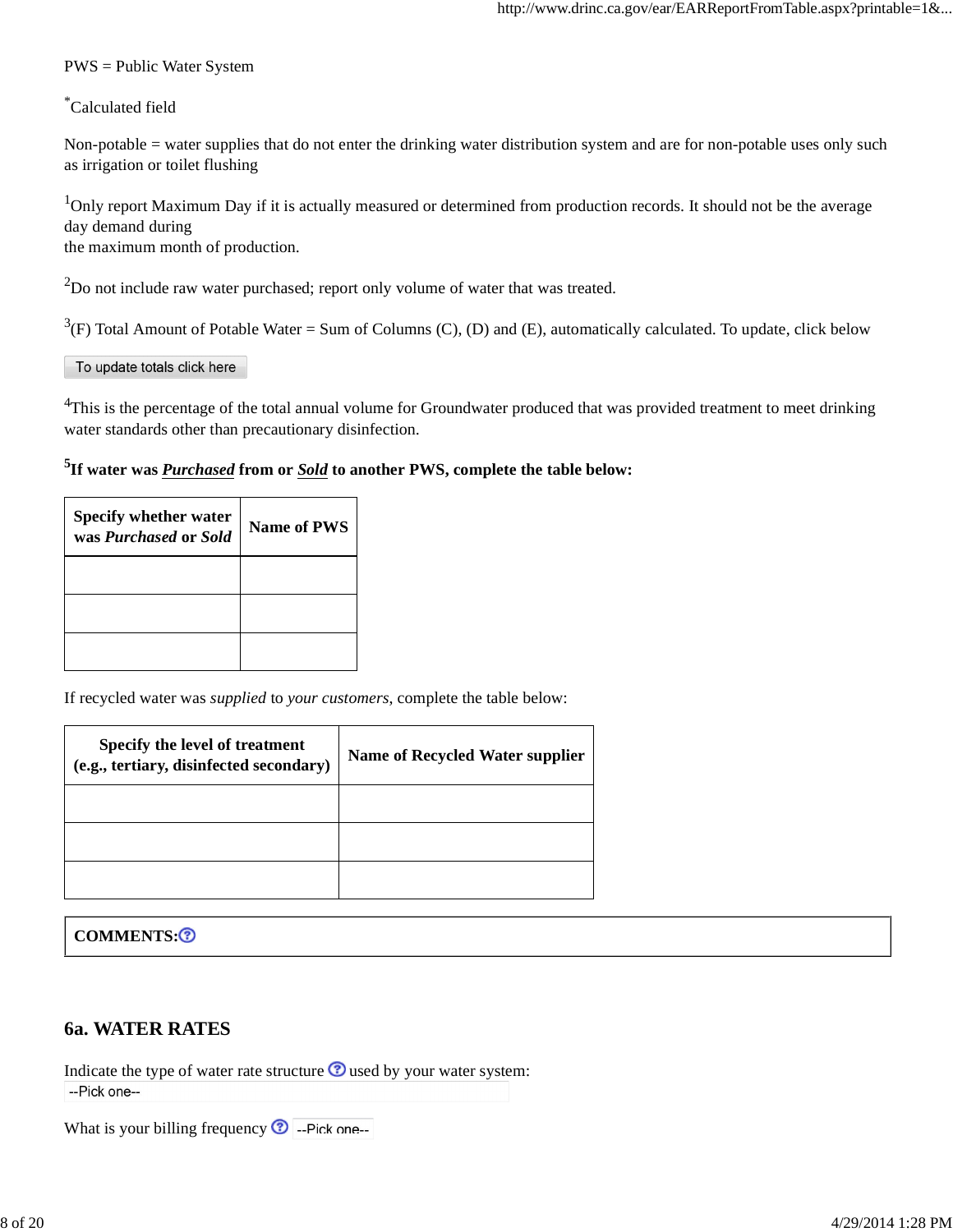#### PWS = Public Water System

#### \*Calculated field

Non-potable = water supplies that do not enter the drinking water distribution system and are for non-potable uses only such as irrigation or toilet flushing

<sup>1</sup>Only report Maximum Day if it is actually measured or determined from production records. It should not be the average day demand during the maximum month of production.

 $^{2}$ Do not include raw water purchased; report only volume of water that was treated.

 $3(F)$  Total Amount of Potable Water = Sum of Columns (C), (D) and (E), automatically calculated. To update, click below

#### To update totals click here

<sup>4</sup>This is the percentage of the total annual volume for Groundwater produced that was provided treatment to meet drinking water standards other than precautionary disinfection.

#### **5 If water was** *Purchased* **from or** *Sold* **to another PWS, complete the table below:**

| <b>Specify whether water</b><br>was <i>Purchased</i> or <i>Sold</i> | Name of PWS |
|---------------------------------------------------------------------|-------------|
|                                                                     |             |
|                                                                     |             |
|                                                                     |             |

If recycled water was *supplied* to *your customers*, complete the table below:

| Specify the level of treatment<br>(e.g., tertiary, disinfected secondary) | <b>Name of Recycled Water supplier</b> |
|---------------------------------------------------------------------------|----------------------------------------|
|                                                                           |                                        |
|                                                                           |                                        |
|                                                                           |                                        |

#### COMMENTS:<sup>3</sup>

#### **6a. WATER RATES**

Indicate the type of water rate structure  $\odot$  used by your water system: --Pick one--

What is your billing frequency  $\bullet$  --Pick one--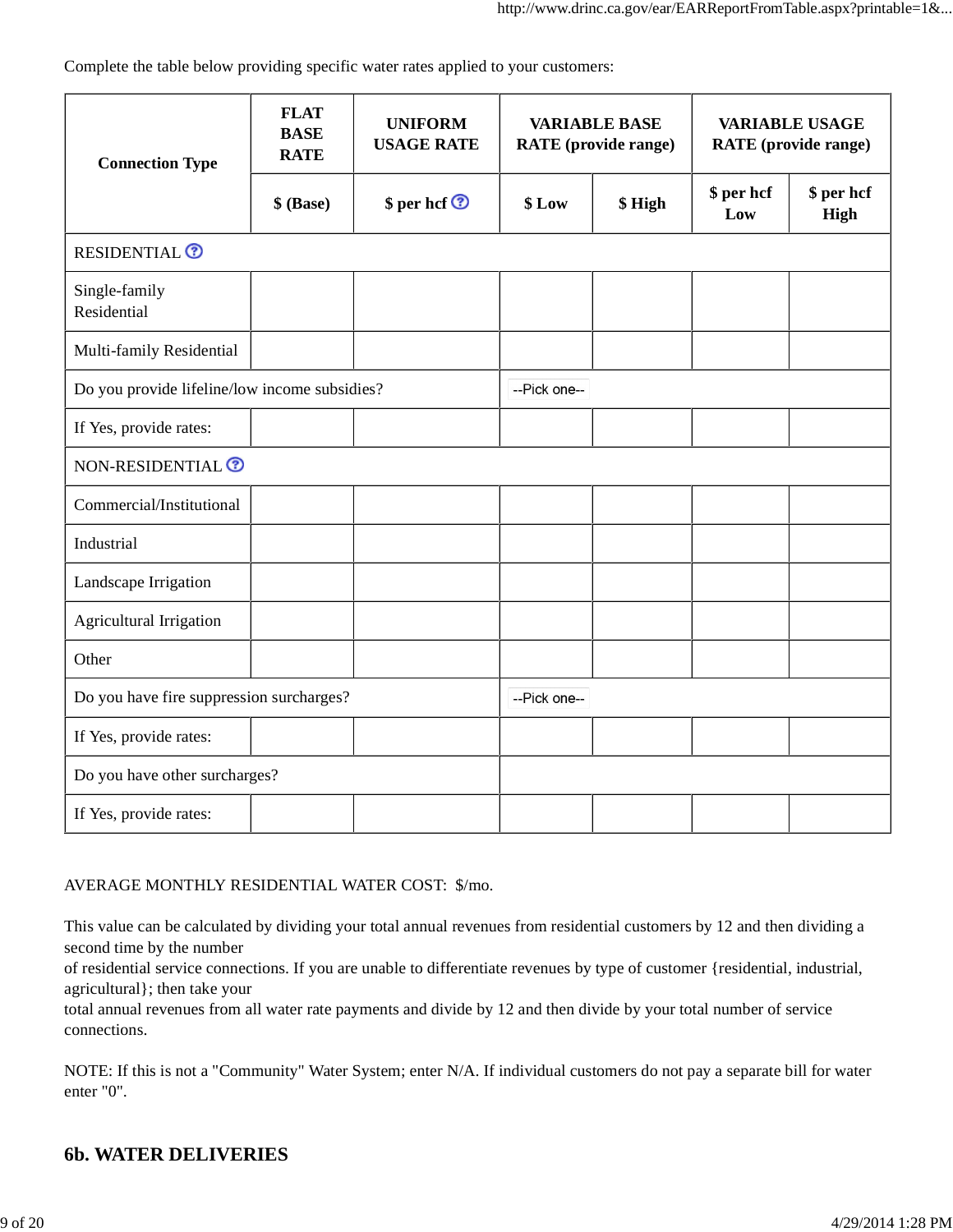Complete the table below providing specific water rates applied to your customers:

| <b>Connection Type</b>                        | <b>FLAT</b><br><b>BASE</b><br><b>RATE</b> | <b>UNIFORM</b><br><b>USAGE RATE</b> | <b>VARIABLE BASE</b><br><b>RATE</b> (provide range) |        | <b>VARIABLE USAGE</b><br><b>RATE</b> (provide range) |                    |
|-----------------------------------------------|-------------------------------------------|-------------------------------------|-----------------------------------------------------|--------|------------------------------------------------------|--------------------|
|                                               | \$ (Base)                                 | \$ per hcf <sup>o</sup>             | \$Low                                               | \$High | \$ per hcf<br>Low                                    | \$ per hcf<br>High |
| <b>RESIDENTIAL<sup>O</sup></b>                |                                           |                                     |                                                     |        |                                                      |                    |
| Single-family<br>Residential                  |                                           |                                     |                                                     |        |                                                      |                    |
| Multi-family Residential                      |                                           |                                     |                                                     |        |                                                      |                    |
| Do you provide lifeline/low income subsidies? |                                           |                                     | --Pick one--                                        |        |                                                      |                    |
| If Yes, provide rates:                        |                                           |                                     |                                                     |        |                                                      |                    |
| NON-RESIDENTIAL <sup>®</sup>                  |                                           |                                     |                                                     |        |                                                      |                    |
| Commercial/Institutional                      |                                           |                                     |                                                     |        |                                                      |                    |
| Industrial                                    |                                           |                                     |                                                     |        |                                                      |                    |
| Landscape Irrigation                          |                                           |                                     |                                                     |        |                                                      |                    |
| Agricultural Irrigation                       |                                           |                                     |                                                     |        |                                                      |                    |
| Other                                         |                                           |                                     |                                                     |        |                                                      |                    |
| Do you have fire suppression surcharges?      |                                           |                                     | --Pick one--                                        |        |                                                      |                    |
| If Yes, provide rates:                        |                                           |                                     |                                                     |        |                                                      |                    |
| Do you have other surcharges?                 |                                           |                                     |                                                     |        |                                                      |                    |
| If Yes, provide rates:                        |                                           |                                     |                                                     |        |                                                      |                    |

#### AVERAGE MONTHLY RESIDENTIAL WATER COST: \$/mo.

This value can be calculated by dividing your total annual revenues from residential customers by 12 and then dividing a second time by the number

of residential service connections. If you are unable to differentiate revenues by type of customer {residential, industrial, agricultural}; then take your

total annual revenues from all water rate payments and divide by 12 and then divide by your total number of service connections.

NOTE: If this is not a "Community" Water System; enter N/A. If individual customers do not pay a separate bill for water enter "0".

### **6b. WATER DELIVERIES**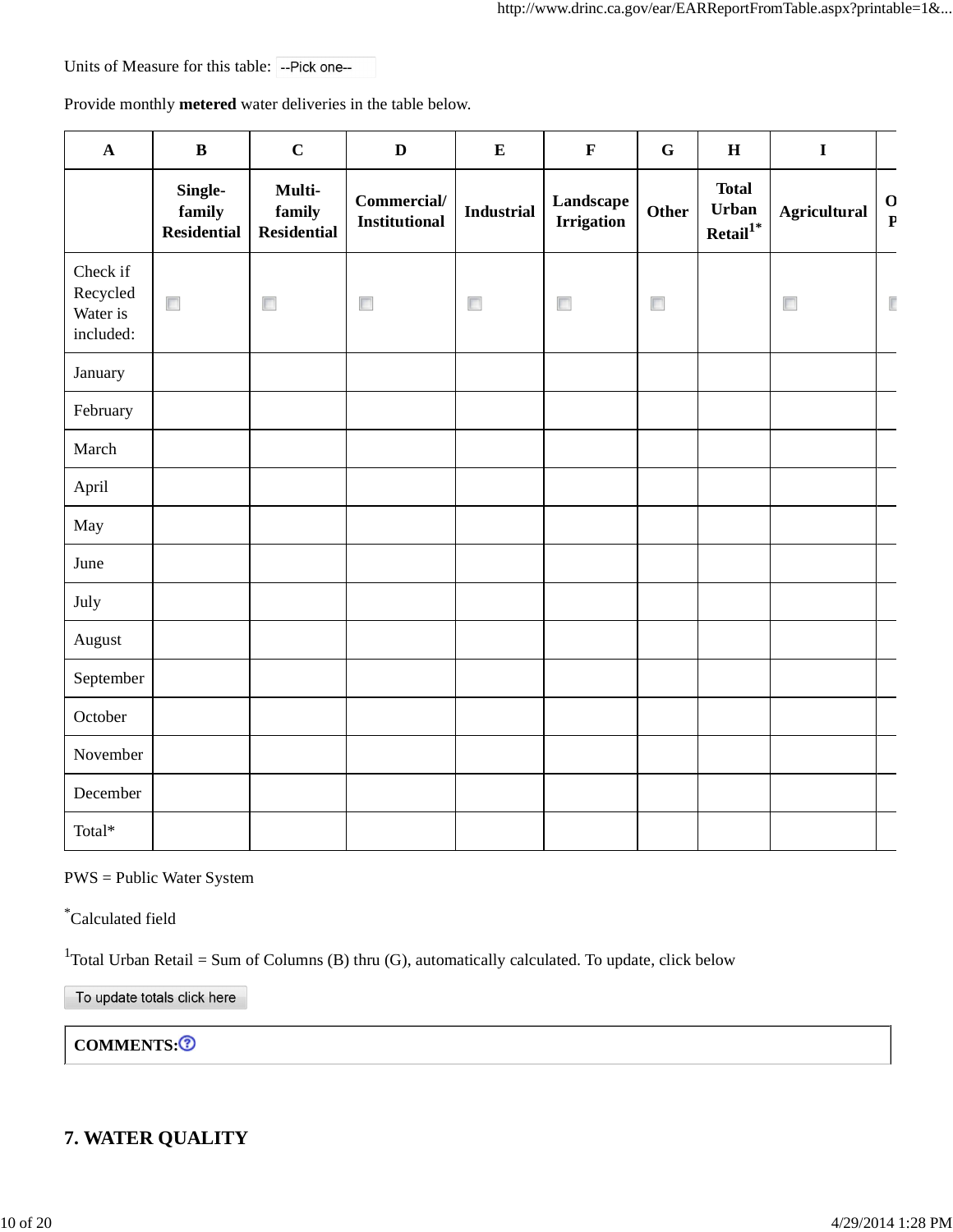Units of Measure for this table: -- Pick one--

Provide monthly **metered** water deliveries in the table below.

| $\mathbf A$                                   | $\, {\bf B}$                            | $\mathbf C$                            | $\mathbf D$                         | ${\bf E}$         | $\mathbf F$                    | ${\bf G}$ | $\, {\bf H}$                                  | $\mathbf I$         |                             |
|-----------------------------------------------|-----------------------------------------|----------------------------------------|-------------------------------------|-------------------|--------------------------------|-----------|-----------------------------------------------|---------------------|-----------------------------|
|                                               | Single-<br>family<br><b>Residential</b> | Multi-<br>family<br><b>Residential</b> | Commercial/<br><b>Institutional</b> | <b>Industrial</b> | Landscape<br><b>Irrigation</b> | Other     | <b>Total</b><br>Urban<br>$\mbox{Retal}^{1^*}$ | <b>Agricultural</b> | $\mathbf 0$<br>$\mathbf{P}$ |
| Check if<br>Recycled<br>Water is<br>included: | $\Box$                                  | $\left\vert \cdot\right\vert$          | $\Box$                              | $\Box$            | $\overline{\mathbb{R}}$        | $\Box$    |                                               | $\Box$              | $\overline{\mathbb{F}}$     |
| January                                       |                                         |                                        |                                     |                   |                                |           |                                               |                     |                             |
| February                                      |                                         |                                        |                                     |                   |                                |           |                                               |                     |                             |
| March                                         |                                         |                                        |                                     |                   |                                |           |                                               |                     |                             |
| April                                         |                                         |                                        |                                     |                   |                                |           |                                               |                     |                             |
| May                                           |                                         |                                        |                                     |                   |                                |           |                                               |                     |                             |
| June                                          |                                         |                                        |                                     |                   |                                |           |                                               |                     |                             |
| July                                          |                                         |                                        |                                     |                   |                                |           |                                               |                     |                             |
| August                                        |                                         |                                        |                                     |                   |                                |           |                                               |                     |                             |
| September                                     |                                         |                                        |                                     |                   |                                |           |                                               |                     |                             |
| October                                       |                                         |                                        |                                     |                   |                                |           |                                               |                     |                             |
| November                                      |                                         |                                        |                                     |                   |                                |           |                                               |                     |                             |
| December                                      |                                         |                                        |                                     |                   |                                |           |                                               |                     |                             |
| Total*                                        |                                         |                                        |                                     |                   |                                |           |                                               |                     |                             |

PWS = Public Water System

\*Calculated field

<sup>1</sup>Total Urban Retail = Sum of Columns (B) thru (G), automatically calculated. To update, click below

To update totals click here

COMMENTS:<sup>3</sup>

### **7. WATER QUALITY**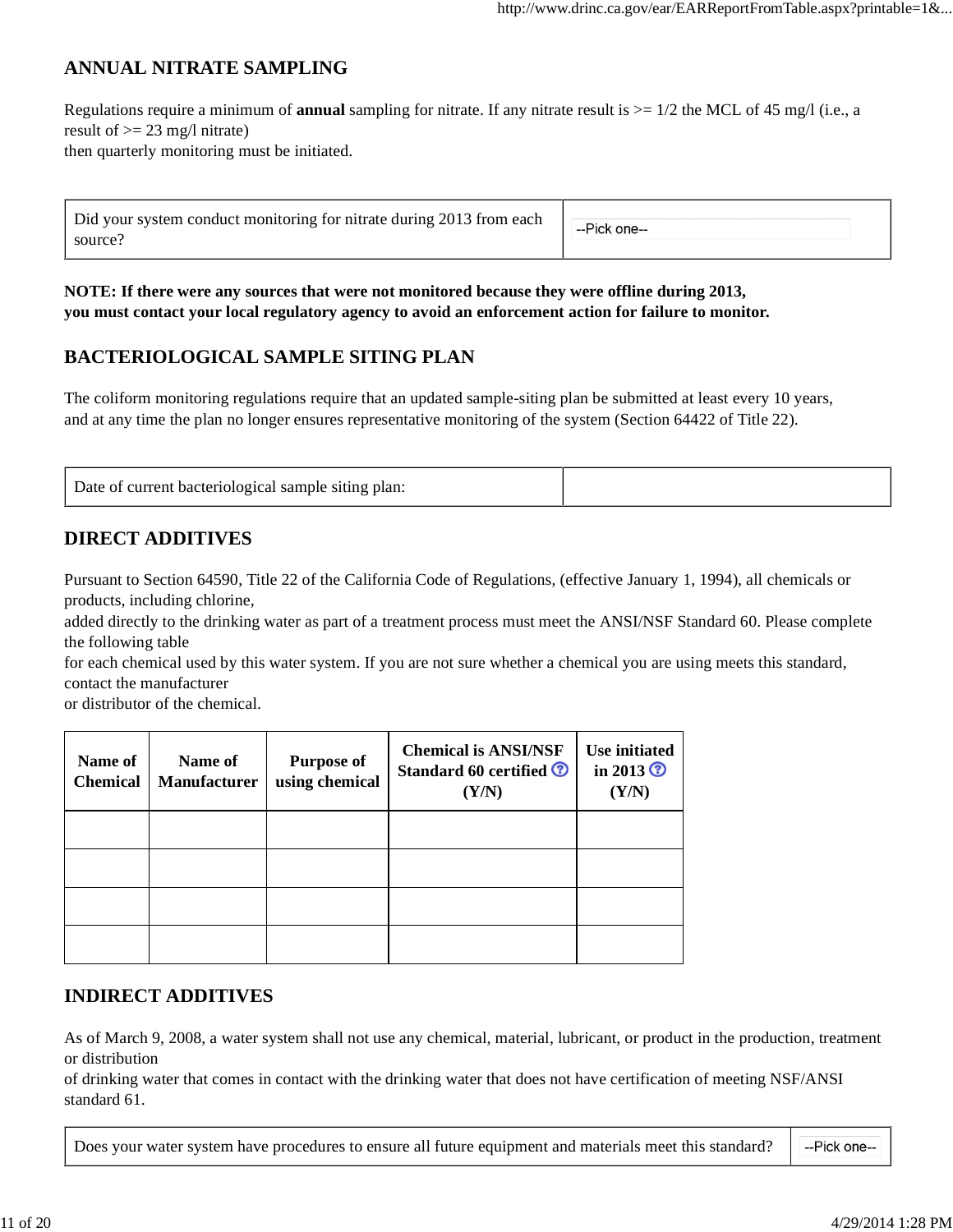## **ANNUAL NITRATE SAMPLING**

Regulations require a minimum of **annual** sampling for nitrate. If any nitrate result is >= 1/2 the MCL of 45 mg/l (i.e., a result of  $\geq$  23 mg/l nitrate) then quarterly monitoring must be initiated.

| Did your system conduct monitoring for nitrate during 2013 from each<br>source? | --Pick one-- |
|---------------------------------------------------------------------------------|--------------|
|                                                                                 |              |

**NOTE: If there were any sources that were not monitored because they were offline during 2013, you must contact your local regulatory agency to avoid an enforcement action for failure to monitor.**

## **BACTERIOLOGICAL SAMPLE SITING PLAN**

The coliform monitoring regulations require that an updated sample-siting plan be submitted at least every 10 years, and at any time the plan no longer ensures representative monitoring of the system (Section 64422 of Title 22).

| Date of current bacteriological sample siting plan: |  |
|-----------------------------------------------------|--|
|-----------------------------------------------------|--|

## **DIRECT ADDITIVES**

Pursuant to Section 64590, Title 22 of the California Code of Regulations, (effective January 1, 1994), all chemicals or products, including chlorine,

added directly to the drinking water as part of a treatment process must meet the ANSI/NSF Standard 60. Please complete the following table

for each chemical used by this water system. If you are not sure whether a chemical you are using meets this standard, contact the manufacturer

or distributor of the chemical.

| Name of<br><b>Chemical</b> | Name of<br><b>Manufacturer</b> | <b>Purpose of</b><br>using chemical | <b>Chemical is ANSI/NSF</b><br><b>Standard 60 certified ©</b><br>(Y/N) | <b>Use initiated</b><br>in 2013 $\odot$<br>(Y/N) |
|----------------------------|--------------------------------|-------------------------------------|------------------------------------------------------------------------|--------------------------------------------------|
|                            |                                |                                     |                                                                        |                                                  |
|                            |                                |                                     |                                                                        |                                                  |
|                            |                                |                                     |                                                                        |                                                  |
|                            |                                |                                     |                                                                        |                                                  |

### **INDIRECT ADDITIVES**

As of March 9, 2008, a water system shall not use any chemical, material, lubricant, or product in the production, treatment or distribution

of drinking water that comes in contact with the drinking water that does not have certification of meeting NSF/ANSI standard 61.

Does your water system have procedures to ensure all future equipment and materials meet this standard? --Pick one--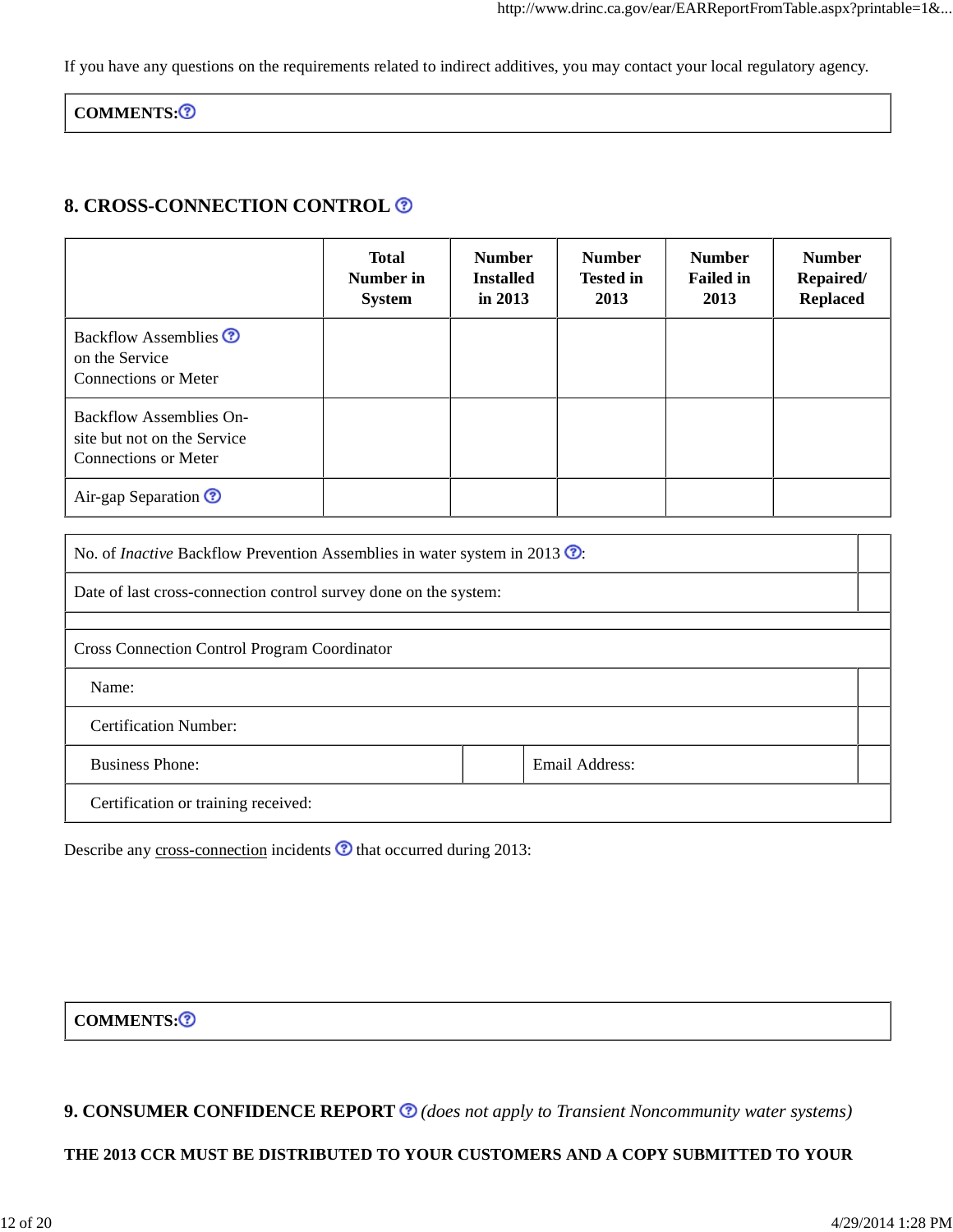If you have any questions on the requirements related to indirect additives, you may contact your local regulatory agency.

COMMENTS:<sup>3</sup>

#### **8. CROSS-CONNECTION CONTROL**

|                                                                                       | <b>Total</b><br>Number in<br><b>System</b> | <b>Number</b><br><b>Installed</b><br>in $2013$ | <b>Number</b><br><b>Tested in</b><br>2013 | <b>Number</b><br><b>Failed in</b><br>2013 | <b>Number</b><br>Repaired/<br><b>Replaced</b> |
|---------------------------------------------------------------------------------------|--------------------------------------------|------------------------------------------------|-------------------------------------------|-------------------------------------------|-----------------------------------------------|
| Backflow Assemblies <sup>?</sup><br>on the Service<br>Connections or Meter            |                                            |                                                |                                           |                                           |                                               |
| <b>Backflow Assemblies On-</b><br>site but not on the Service<br>Connections or Meter |                                            |                                                |                                           |                                           |                                               |
| Air-gap Separation <sup>?</sup>                                                       |                                            |                                                |                                           |                                           |                                               |

| No. of <i>Inactive</i> Backflow Prevention Assemblies in water system in 2013 $\odot$ . |  |                |  |  |
|-----------------------------------------------------------------------------------------|--|----------------|--|--|
| Date of last cross-connection control survey done on the system:                        |  |                |  |  |
|                                                                                         |  |                |  |  |
| <b>Cross Connection Control Program Coordinator</b>                                     |  |                |  |  |
| Name:                                                                                   |  |                |  |  |
| <b>Certification Number:</b>                                                            |  |                |  |  |
| <b>Business Phone:</b>                                                                  |  | Email Address: |  |  |
| Certification or training received:                                                     |  |                |  |  |

Describe any cross-connection incidents  $\odot$  that occurred during 2013:

COMMENTS:<sup>3</sup>

**9. CONSUMER CONFIDENCE REPORT** *(does not apply to Transient Noncommunity water systems)*

**THE 2013 CCR MUST BE DISTRIBUTED TO YOUR CUSTOMERS AND A COPY SUBMITTED TO YOUR**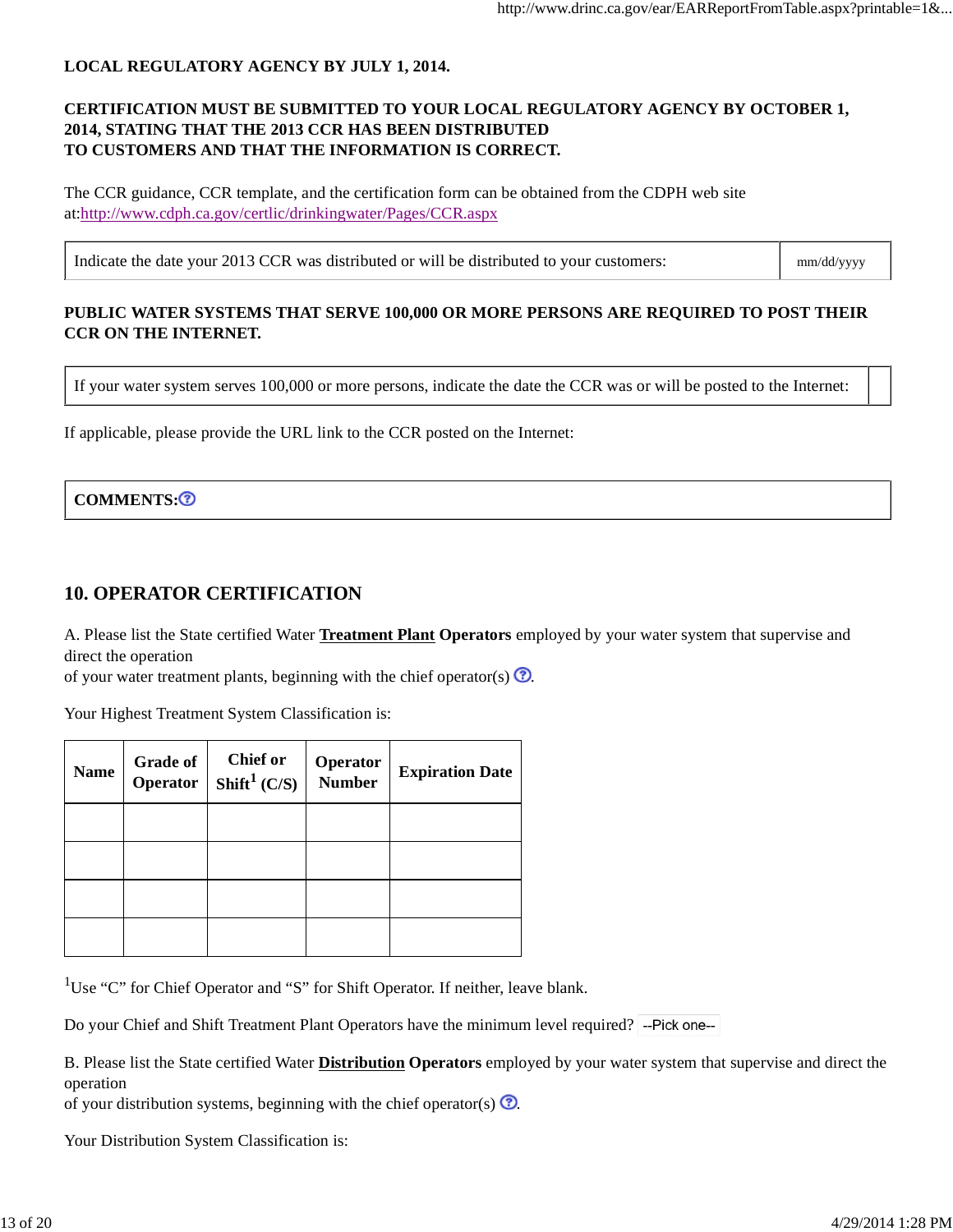#### **LOCAL REGULATORY AGENCY BY JULY 1, 2014.**

#### **CERTIFICATION MUST BE SUBMITTED TO YOUR LOCAL REGULATORY AGENCY BY OCTOBER 1, 2014, STATING THAT THE 2013 CCR HAS BEEN DISTRIBUTED TO CUSTOMERS AND THAT THE INFORMATION IS CORRECT.**

The CCR guidance, CCR template, and the certification form can be obtained from the CDPH web site at:http://www.cdph.ca.gov/certlic/drinkingwater/Pages/CCR.aspx

Indicate the date your 2013 CCR was distributed or will be distributed to your customers: mm/dd/yyyy

#### **PUBLIC WATER SYSTEMS THAT SERVE 100,000 OR MORE PERSONS ARE REQUIRED TO POST THEIR CCR ON THE INTERNET.**

If your water system serves 100,000 or more persons, indicate the date the CCR was or will be posted to the Internet:

If applicable, please provide the URL link to the CCR posted on the Internet:

#### COMMENTS:<sup>2</sup>

#### **10. OPERATOR CERTIFICATION**

A. Please list the State certified Water **Treatment Plant Operators** employed by your water system that supervise and direct the operation

of your water treatment plants, beginning with the chief operator(s)  $\odot$ .

Your Highest Treatment System Classification is:

| <b>Name</b> | <b>Grade of</b><br>Operator | Chief or<br>Shift <sup>1</sup> $(C/S)$ | Operator<br><b>Number</b> | <b>Expiration Date</b> |
|-------------|-----------------------------|----------------------------------------|---------------------------|------------------------|
|             |                             |                                        |                           |                        |
|             |                             |                                        |                           |                        |
|             |                             |                                        |                           |                        |
|             |                             |                                        |                           |                        |

<sup>1</sup>Use "C" for Chief Operator and "S" for Shift Operator. If neither, leave blank.

Do your Chief and Shift Treatment Plant Operators have the minimum level required?

B. Please list the State certified Water **Distribution Operators** employed by your water system that supervise and direct the operation

of your distribution systems, beginning with the chief operator(s)  $\odot$ .

Your Distribution System Classification is: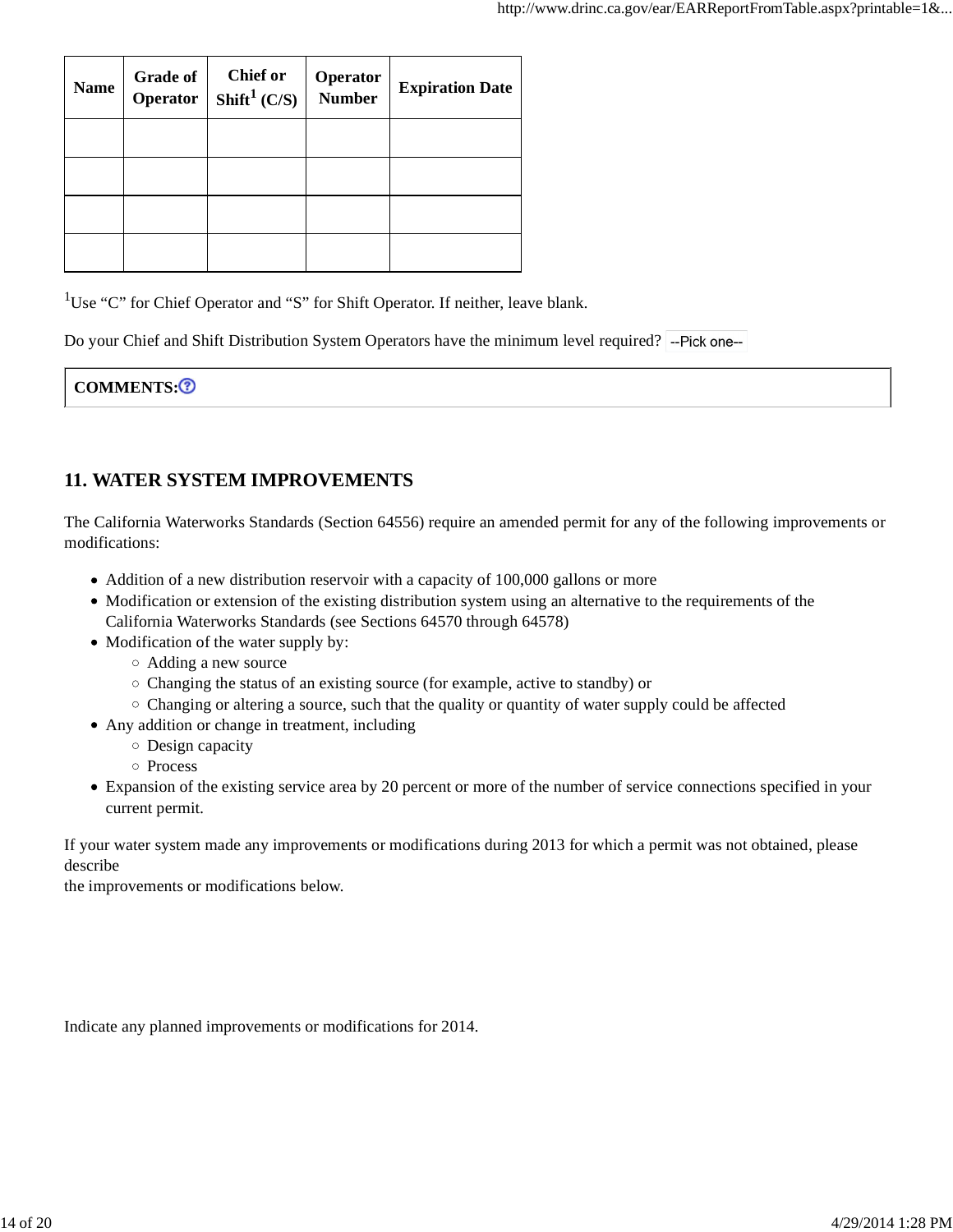| <b>Name</b> | <b>Grade of</b><br>Operator | <b>Chief or</b><br>Shift <sup>1</sup> (C/S) | <b>Operator</b><br>Number | <b>Expiration Date</b> |
|-------------|-----------------------------|---------------------------------------------|---------------------------|------------------------|
|             |                             |                                             |                           |                        |
|             |                             |                                             |                           |                        |
|             |                             |                                             |                           |                        |
|             |                             |                                             |                           |                        |

<sup>1</sup>Use "C" for Chief Operator and "S" for Shift Operator. If neither, leave blank.

Do your Chief and Shift Distribution System Operators have the minimum level required?

| <b>COMMENTS:O</b> |  |
|-------------------|--|
|-------------------|--|

### **11. WATER SYSTEM IMPROVEMENTS**

The California Waterworks Standards (Section 64556) require an amended permit for any of the following improvements or modifications:

- Addition of a new distribution reservoir with a capacity of 100,000 gallons or more
- Modification or extension of the existing distribution system using an alternative to the requirements of the California Waterworks Standards (see Sections 64570 through 64578)
- Modification of the water supply by:
	- Adding a new source
	- Changing the status of an existing source (for example, active to standby) or
	- $\circ$  Changing or altering a source, such that the quality or quantity of water supply could be affected
- Any addition or change in treatment, including
	- Design capacity
	- o Process
- Expansion of the existing service area by 20 percent or more of the number of service connections specified in your current permit.

If your water system made any improvements or modifications during 2013 for which a permit was not obtained, please describe

the improvements or modifications below.

Indicate any planned improvements or modifications for 2014.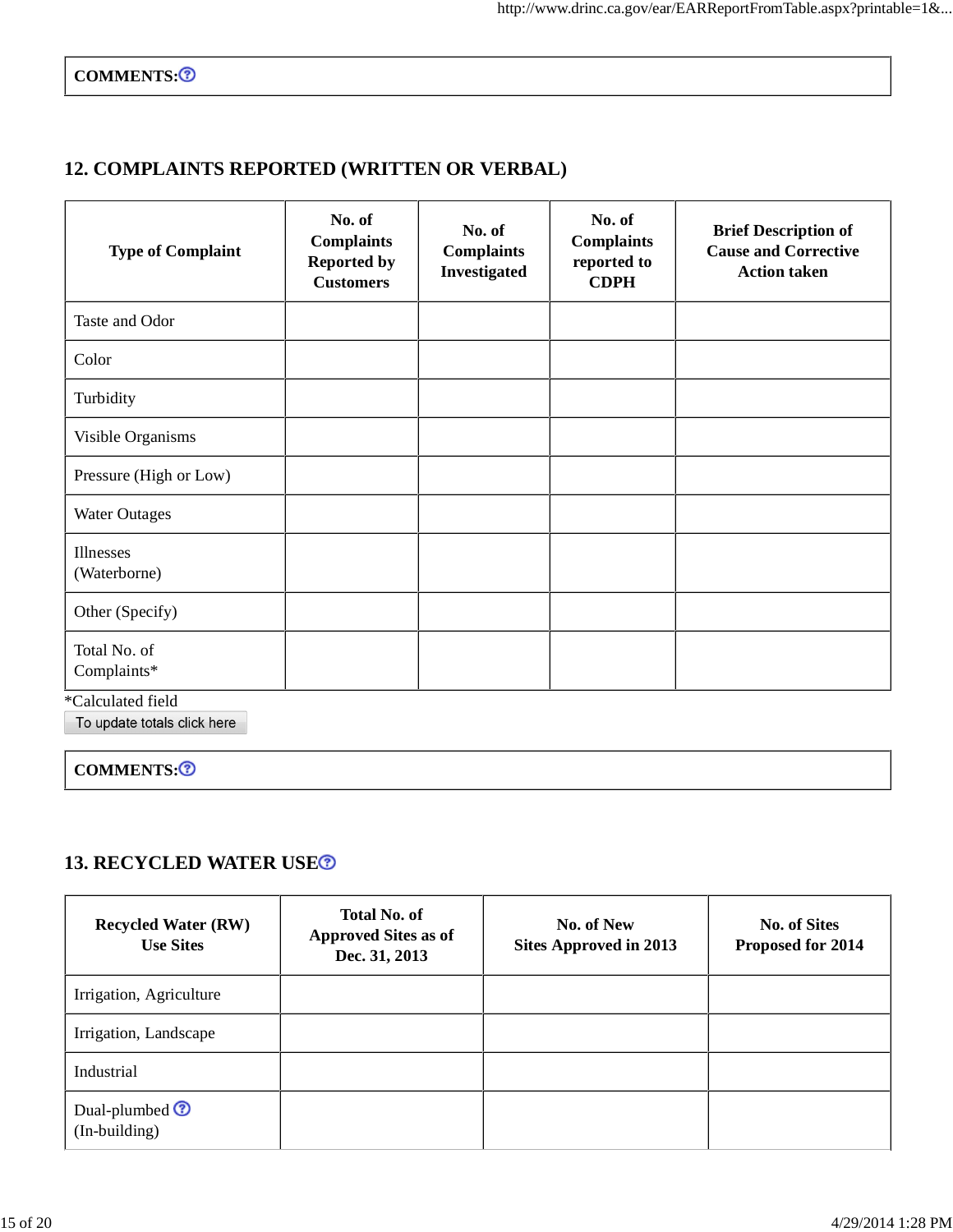COMMENTS:<sup>3</sup>

## **12. COMPLAINTS REPORTED (WRITTEN OR VERBAL)**

| <b>Type of Complaint</b>    | No. of<br><b>Complaints</b><br><b>Reported by</b><br><b>Customers</b> | No. of<br><b>Complaints</b><br>Investigated | No. of<br><b>Complaints</b><br>reported to<br><b>CDPH</b> | <b>Brief Description of</b><br><b>Cause and Corrective</b><br><b>Action taken</b> |
|-----------------------------|-----------------------------------------------------------------------|---------------------------------------------|-----------------------------------------------------------|-----------------------------------------------------------------------------------|
| Taste and Odor              |                                                                       |                                             |                                                           |                                                                                   |
| Color                       |                                                                       |                                             |                                                           |                                                                                   |
| Turbidity                   |                                                                       |                                             |                                                           |                                                                                   |
| Visible Organisms           |                                                                       |                                             |                                                           |                                                                                   |
| Pressure (High or Low)      |                                                                       |                                             |                                                           |                                                                                   |
| <b>Water Outages</b>        |                                                                       |                                             |                                                           |                                                                                   |
| Illnesses<br>(Waterborne)   |                                                                       |                                             |                                                           |                                                                                   |
| Other (Specify)             |                                                                       |                                             |                                                           |                                                                                   |
| Total No. of<br>Complaints* |                                                                       |                                             |                                                           |                                                                                   |

\*Calculated field

COMMENTS:<sup>3</sup>

### **13. RECYCLED WATER USE**

| <b>Recycled Water (RW)</b><br><b>Use Sites</b> | <b>Total No. of</b><br><b>Approved Sites as of</b><br>Dec. 31, 2013 | No. of New<br><b>Sites Approved in 2013</b> | <b>No. of Sites</b><br>Proposed for 2014 |
|------------------------------------------------|---------------------------------------------------------------------|---------------------------------------------|------------------------------------------|
| Irrigation, Agriculture                        |                                                                     |                                             |                                          |
| Irrigation, Landscape                          |                                                                     |                                             |                                          |
| Industrial                                     |                                                                     |                                             |                                          |
| Dual-plumbed $\odot$<br>(In-building)          |                                                                     |                                             |                                          |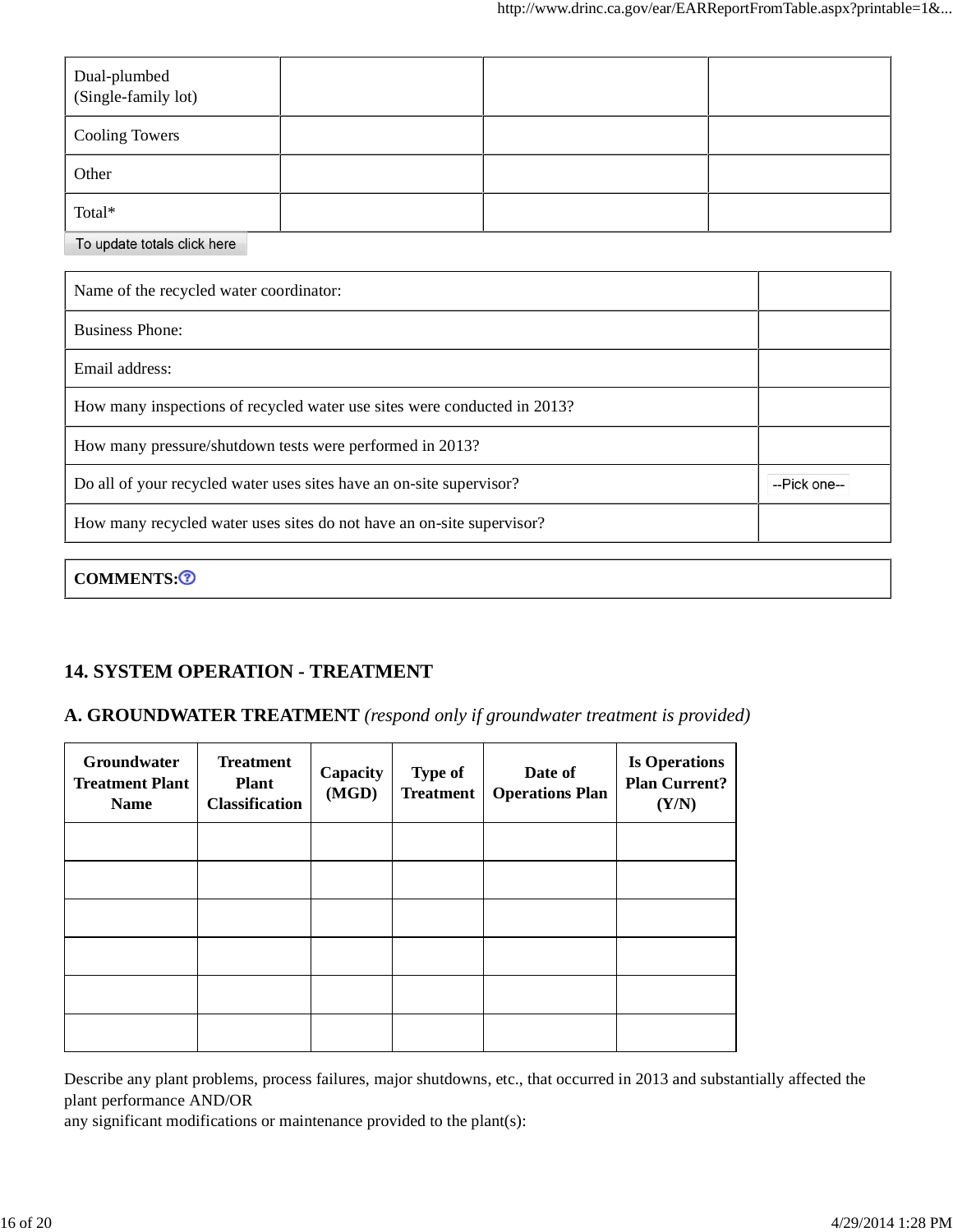| Dual-plumbed<br>(Single-family lot) |  |  |
|-------------------------------------|--|--|
| <b>Cooling Towers</b>               |  |  |
| Other                               |  |  |
| Total*                              |  |  |

To update totals click here

| Name of the recycled water coordinator:                                  |              |
|--------------------------------------------------------------------------|--------------|
| <b>Business Phone:</b>                                                   |              |
| Email address:                                                           |              |
| How many inspections of recycled water use sites were conducted in 2013? |              |
| How many pressure/shutdown tests were performed in 2013?                 |              |
| Do all of your recycled water uses sites have an on-site supervisor?     | --Pick one-- |
| How many recycled water uses sites do not have an on-site supervisor?    |              |
|                                                                          |              |

COMMENTS:<sup>3</sup>

## **14. SYSTEM OPERATION - TREATMENT**

#### **A. GROUNDWATER TREATMENT** *(respond only if groundwater treatment is provided)*

| Groundwater<br><b>Treatment Plant</b><br><b>Name</b> | <b>Treatment</b><br><b>Plant</b><br><b>Classification</b> | Capacity<br>(MGD) | <b>Type of</b><br><b>Treatment</b> | Date of<br><b>Operations Plan</b> | <b>Is Operations</b><br><b>Plan Current?</b><br>(Y/N) |
|------------------------------------------------------|-----------------------------------------------------------|-------------------|------------------------------------|-----------------------------------|-------------------------------------------------------|
|                                                      |                                                           |                   |                                    |                                   |                                                       |
|                                                      |                                                           |                   |                                    |                                   |                                                       |
|                                                      |                                                           |                   |                                    |                                   |                                                       |
|                                                      |                                                           |                   |                                    |                                   |                                                       |
|                                                      |                                                           |                   |                                    |                                   |                                                       |
|                                                      |                                                           |                   |                                    |                                   |                                                       |

Describe any plant problems, process failures, major shutdowns, etc., that occurred in 2013 and substantially affected the plant performance AND/OR

any significant modifications or maintenance provided to the plant(s):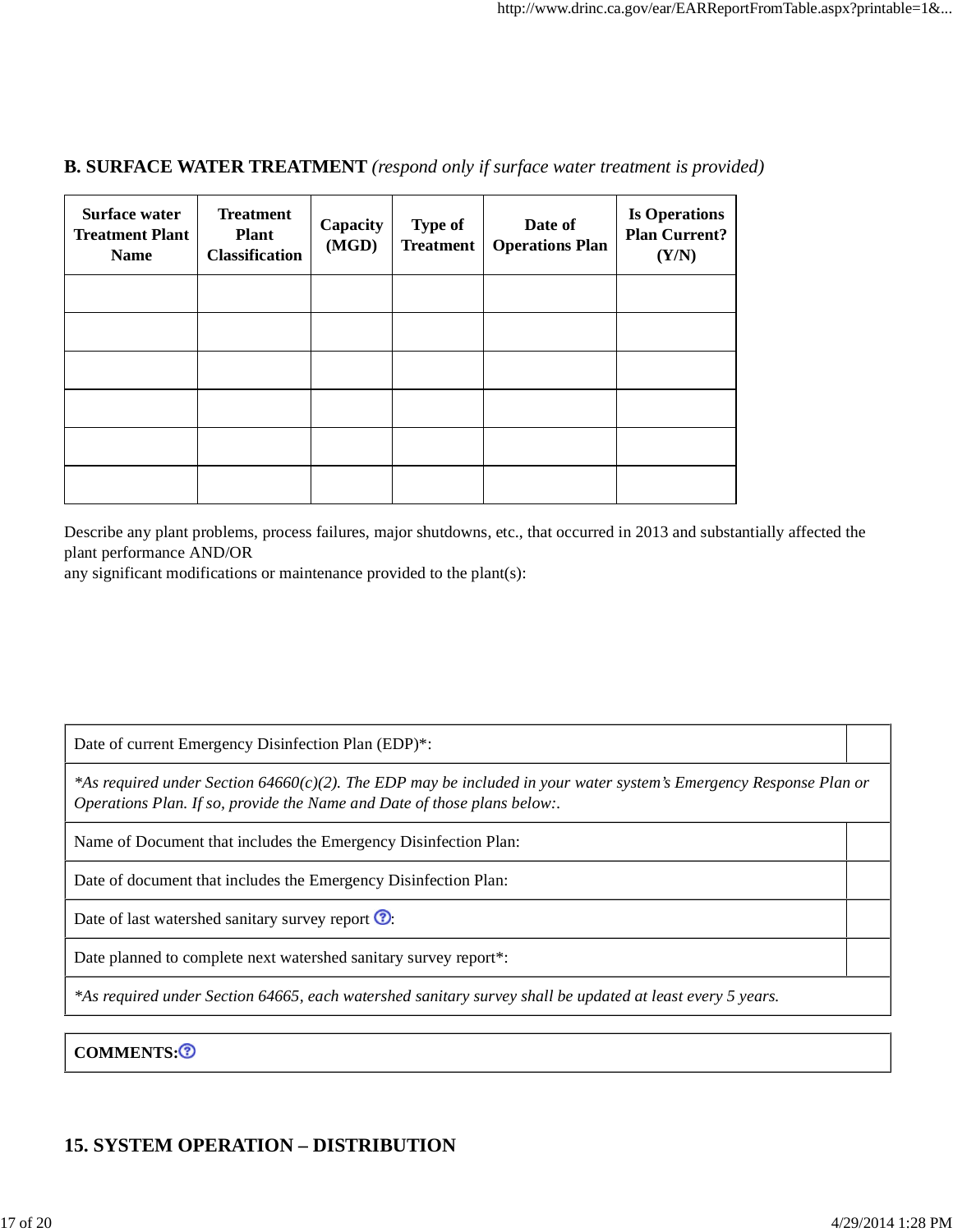#### **B. SURFACE WATER TREATMENT** *(respond only if surface water treatment is provided)*

| <b>Surface water</b><br><b>Treatment Plant</b><br><b>Name</b> | <b>Treatment</b><br><b>Plant</b><br><b>Classification</b> | Capacity<br>(MGD) | <b>Type of</b><br><b>Treatment</b> | Date of<br><b>Operations Plan</b> | <b>Is Operations</b><br><b>Plan Current?</b><br>(Y/N) |
|---------------------------------------------------------------|-----------------------------------------------------------|-------------------|------------------------------------|-----------------------------------|-------------------------------------------------------|
|                                                               |                                                           |                   |                                    |                                   |                                                       |
|                                                               |                                                           |                   |                                    |                                   |                                                       |
|                                                               |                                                           |                   |                                    |                                   |                                                       |
|                                                               |                                                           |                   |                                    |                                   |                                                       |
|                                                               |                                                           |                   |                                    |                                   |                                                       |
|                                                               |                                                           |                   |                                    |                                   |                                                       |

Describe any plant problems, process failures, major shutdowns, etc., that occurred in 2013 and substantially affected the plant performance AND/OR

any significant modifications or maintenance provided to the plant(s):

Date of current Emergency Disinfection Plan (EDP)\*:

*\*As required under Section 64660(c)(2). The EDP may be included in your water system's Emergency Response Plan or Operations Plan. If so, provide the Name and Date of those plans below:.*

Name of Document that includes the Emergency Disinfection Plan:

Date of document that includes the Emergency Disinfection Plan:

Date of last watershed sanitary survey report  $\odot$ :

Date planned to complete next watershed sanitary survey report\*:

*\*As required under Section 64665, each watershed sanitary survey shall be updated at least every 5 years.*

COMMENTS:<sup>3</sup>

### **15. SYSTEM OPERATION – DISTRIBUTION**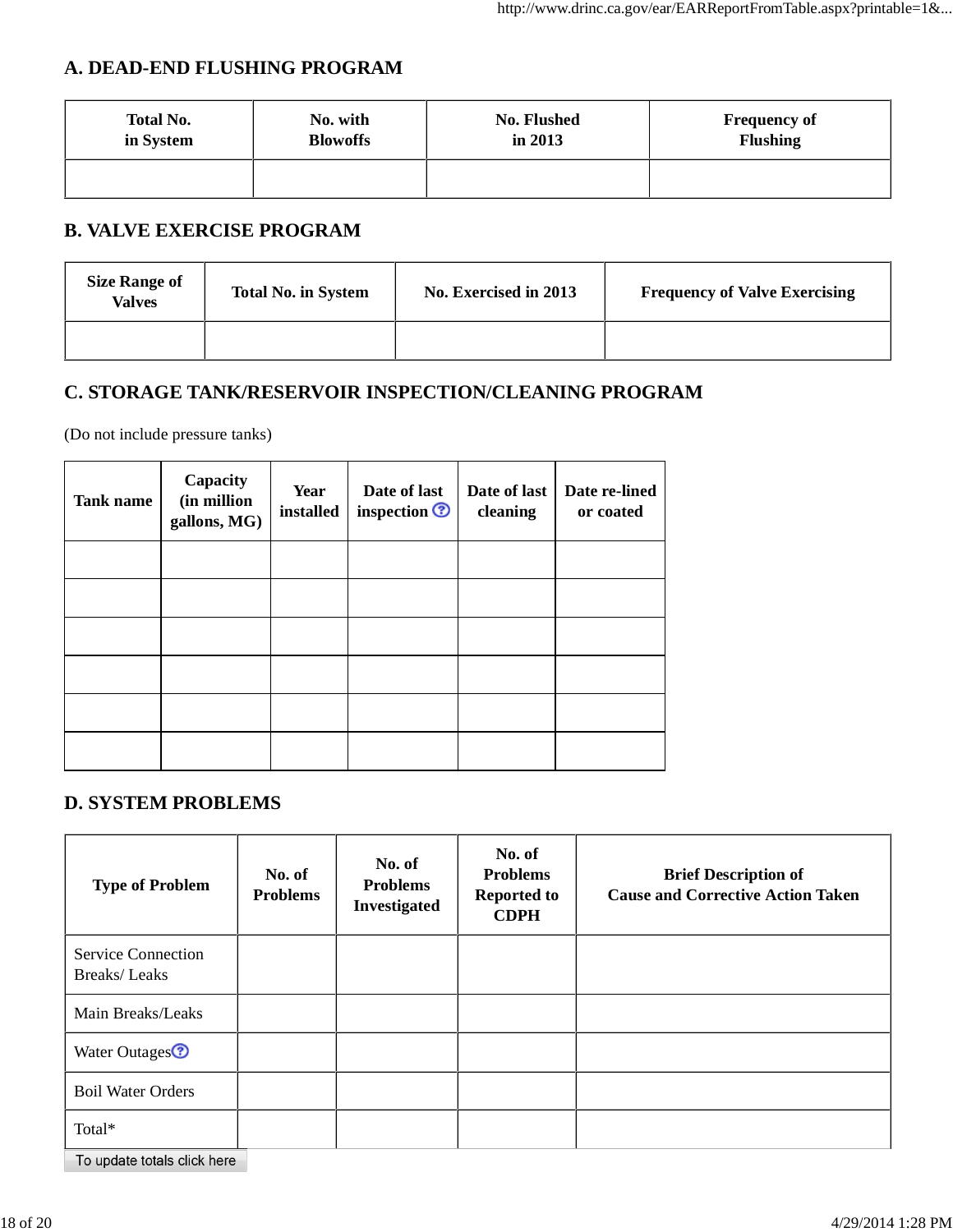## **A. DEAD-END FLUSHING PROGRAM**

| <b>Total No.</b> | No. with        | No. Flushed | <b>Frequency of</b> |
|------------------|-----------------|-------------|---------------------|
| in System        | <b>Blowoffs</b> | in $2013$   | <b>Flushing</b>     |
|                  |                 |             |                     |

## **B. VALVE EXERCISE PROGRAM**

| <b>Size Range of</b><br>Valves | <b>Total No. in System</b> | No. Exercised in 2013 | <b>Frequency of Valve Exercising</b> |
|--------------------------------|----------------------------|-----------------------|--------------------------------------|
|                                |                            |                       |                                      |

### **C. STORAGE TANK/RESERVOIR INSPECTION/CLEANING PROGRAM**

(Do not include pressure tanks)

| Tank name | Capacity<br>(in million<br>gallons, MG) | Year<br>installed | Date of last<br>inspection <sup>?</sup> | Date of last<br>cleaning | Date re-lined<br>or coated |
|-----------|-----------------------------------------|-------------------|-----------------------------------------|--------------------------|----------------------------|
|           |                                         |                   |                                         |                          |                            |
|           |                                         |                   |                                         |                          |                            |
|           |                                         |                   |                                         |                          |                            |
|           |                                         |                   |                                         |                          |                            |
|           |                                         |                   |                                         |                          |                            |
|           |                                         |                   |                                         |                          |                            |

#### **D. SYSTEM PROBLEMS**

| <b>Type of Problem</b>                           | No. of<br><b>Problems</b> | No. of<br><b>Problems</b><br>Investigated | No. of<br><b>Problems</b><br><b>Reported to</b><br><b>CDPH</b> | <b>Brief Description of</b><br><b>Cause and Corrective Action Taken</b> |
|--------------------------------------------------|---------------------------|-------------------------------------------|----------------------------------------------------------------|-------------------------------------------------------------------------|
| <b>Service Connection</b><br><b>Breaks/Leaks</b> |                           |                                           |                                                                |                                                                         |
| Main Breaks/Leaks                                |                           |                                           |                                                                |                                                                         |
| Water Outages <sup><sup>2</sup></sup>            |                           |                                           |                                                                |                                                                         |
| <b>Boil Water Orders</b>                         |                           |                                           |                                                                |                                                                         |
| Total*                                           |                           |                                           |                                                                |                                                                         |
| To update totals click here                      |                           |                                           |                                                                |                                                                         |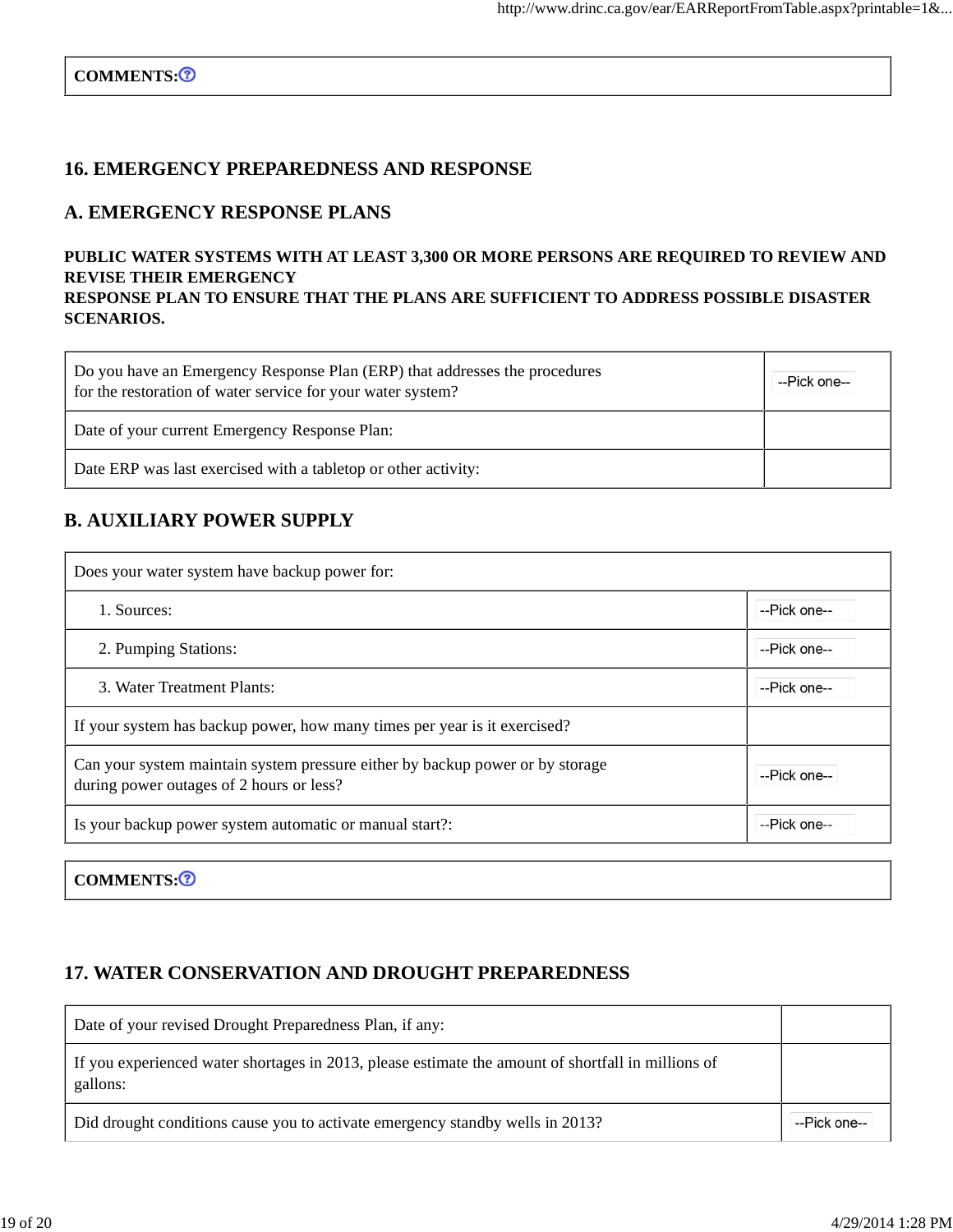#### **16. EMERGENCY PREPAREDNESS AND RESPONSE**

#### **A. EMERGENCY RESPONSE PLANS**

#### **PUBLIC WATER SYSTEMS WITH AT LEAST 3,300 OR MORE PERSONS ARE REQUIRED TO REVIEW AND REVISE THEIR EMERGENCY RESPONSE PLAN TO ENSURE THAT THE PLANS ARE SUFFICIENT TO ADDRESS POSSIBLE DISASTER SCENARIOS.**

| Do you have an Emergency Response Plan (ERP) that addresses the procedures<br>for the restoration of water service for your water system? | --Pick one-- |
|-------------------------------------------------------------------------------------------------------------------------------------------|--------------|
| Date of your current Emergency Response Plan:                                                                                             |              |
| Date ERP was last exercised with a tabletop or other activity:                                                                            |              |

#### **B. AUXILIARY POWER SUPPLY**

| Does your water system have backup power for:                                                                             |              |  |  |  |
|---------------------------------------------------------------------------------------------------------------------------|--------------|--|--|--|
| 1. Sources:                                                                                                               | --Pick one-- |  |  |  |
| 2. Pumping Stations:                                                                                                      | --Pick one-- |  |  |  |
| 3. Water Treatment Plants:                                                                                                | --Pick one-- |  |  |  |
| If your system has backup power, how many times per year is it exercised?                                                 |              |  |  |  |
| Can your system maintain system pressure either by backup power or by storage<br>during power outages of 2 hours or less? | --Pick one-- |  |  |  |
| Is your backup power system automatic or manual start?:                                                                   | --Pick one-- |  |  |  |
|                                                                                                                           |              |  |  |  |

COMMENTS:<sup>3</sup>

### **17. WATER CONSERVATION AND DROUGHT PREPAREDNESS**

| Date of your revised Drought Preparedness Plan, if any:                                                        |              |
|----------------------------------------------------------------------------------------------------------------|--------------|
| If you experienced water shortages in 2013, please estimate the amount of shortfall in millions of<br>gallons: |              |
| Did drought conditions cause you to activate emergency standby wells in 2013?                                  | --Pick one-- |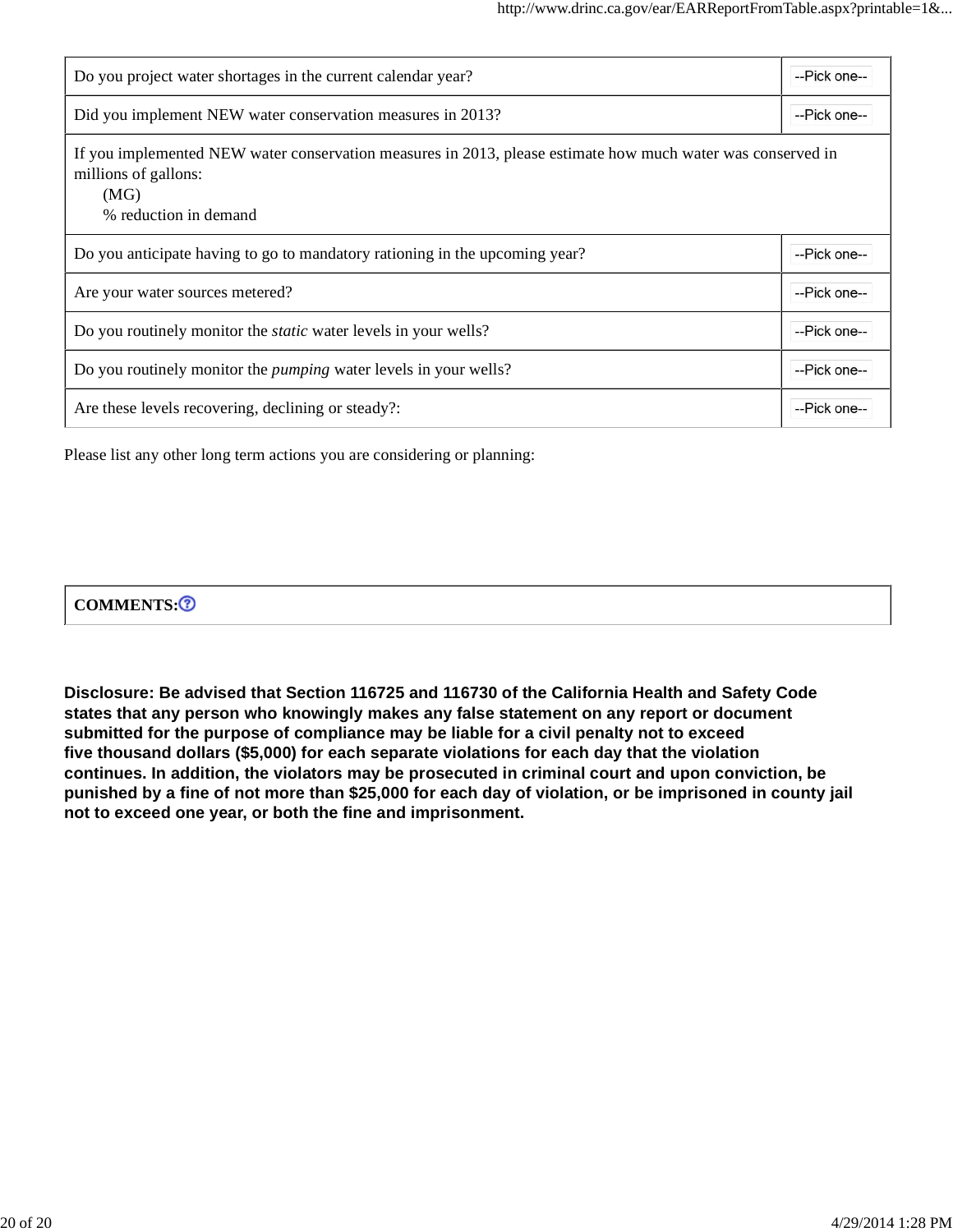| Do you project water shortages in the current calendar year?                                                                                                         |              |
|----------------------------------------------------------------------------------------------------------------------------------------------------------------------|--------------|
| Did you implement NEW water conservation measures in 2013?                                                                                                           | --Pick one-- |
| If you implemented NEW water conservation measures in 2013, please estimate how much water was conserved in<br>millions of gallons:<br>(MG)<br>% reduction in demand |              |
| Do you anticipate having to go to mandatory rationing in the upcoming year?                                                                                          | --Pick one-- |
| Are your water sources metered?                                                                                                                                      | --Pick one-- |
| Do you routinely monitor the <i>static</i> water levels in your wells?                                                                                               |              |
| Do you routinely monitor the <i>pumping</i> water levels in your wells?                                                                                              |              |
| Are these levels recovering, declining or steady?:                                                                                                                   | --Pick one-- |

Please list any other long term actions you are considering or planning:

| $-$ | <b>COMMENTS:</b> |  |
|-----|------------------|--|
|-----|------------------|--|

**Disclosure: Be advised that Section 116725 and 116730 of the California Health and Safety Code states that any person who knowingly makes any false statement on any report or document submitted for the purpose of compliance may be liable for a civil penalty not to exceed five thousand dollars (\$5,000) for each separate violations for each day that the violation continues. In addition, the violators may be prosecuted in criminal court and upon conviction, be punished by a fine of not more than \$25,000 for each day of violation, or be imprisoned in county jail not to exceed one year, or both the fine and imprisonment.**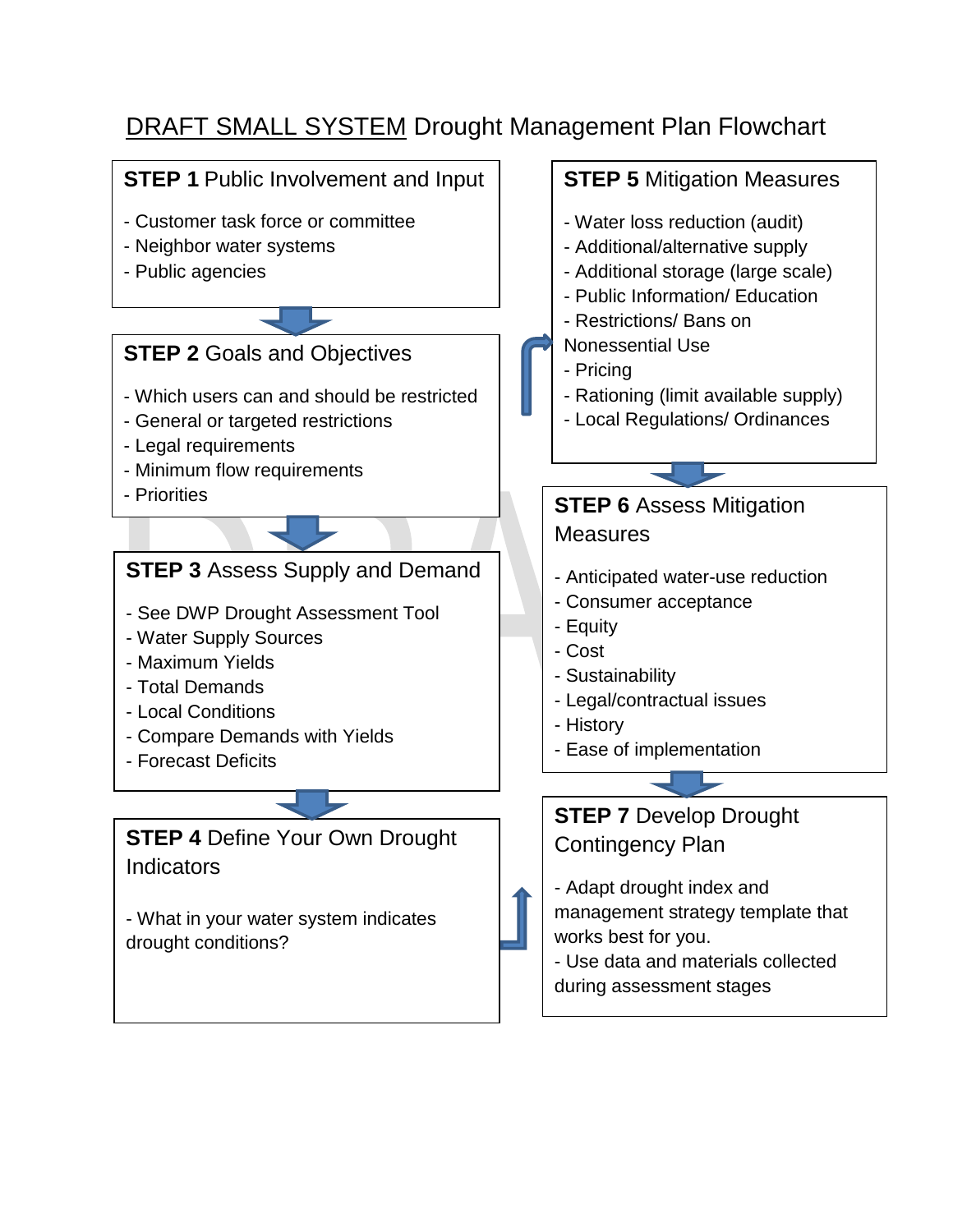# DRAFT SMALL SYSTEM Drought Management Plan Flowchart

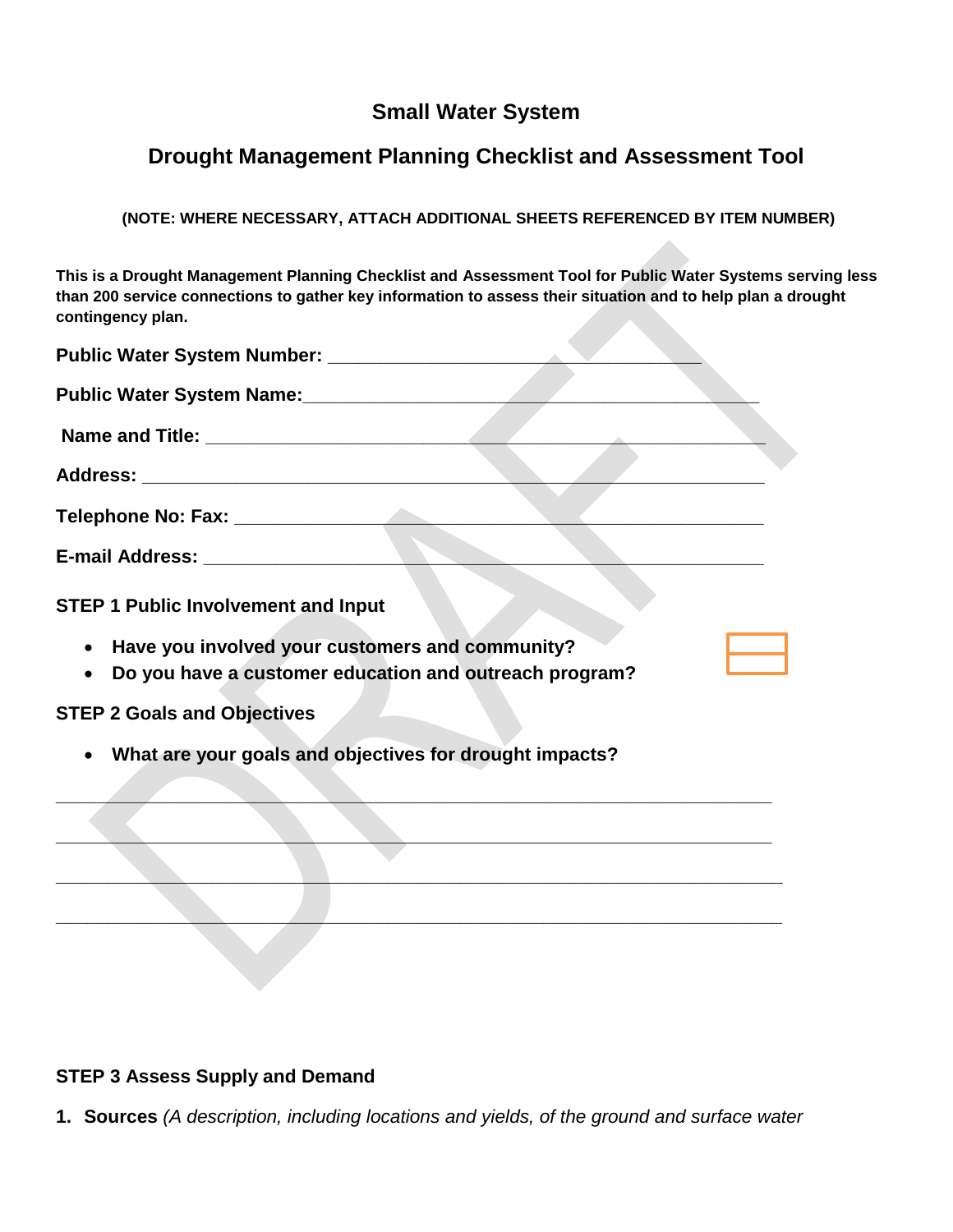## **Small Water System**

# **Drought Management Planning Checklist and Assessment Tool**

**(NOTE: WHERE NECESSARY, ATTACH ADDITIONAL SHEETS REFERENCED BY ITEM NUMBER)**

**This is a Drought Management Planning Checklist and Assessment Tool for Public Water Systems serving less than 200 service connections to gather key information to assess their situation and to help plan a drought contingency plan.**

| Public Water System Name: 2008. [19] Public Water System Name:                                              |
|-------------------------------------------------------------------------------------------------------------|
|                                                                                                             |
|                                                                                                             |
|                                                                                                             |
|                                                                                                             |
| <b>STEP 1 Public Involvement and Input</b>                                                                  |
| • Have you involved your customers and community?<br>Do you have a customer education and outreach program? |
| <b>STEP 2 Goals and Objectives</b>                                                                          |
| What are your goals and objectives for drought impacts?                                                     |
|                                                                                                             |
|                                                                                                             |
|                                                                                                             |
|                                                                                                             |

### **STEP 3 Assess Supply and Demand**

**1. Sources** *(A description, including locations and yields, of the ground and surface water* **2.**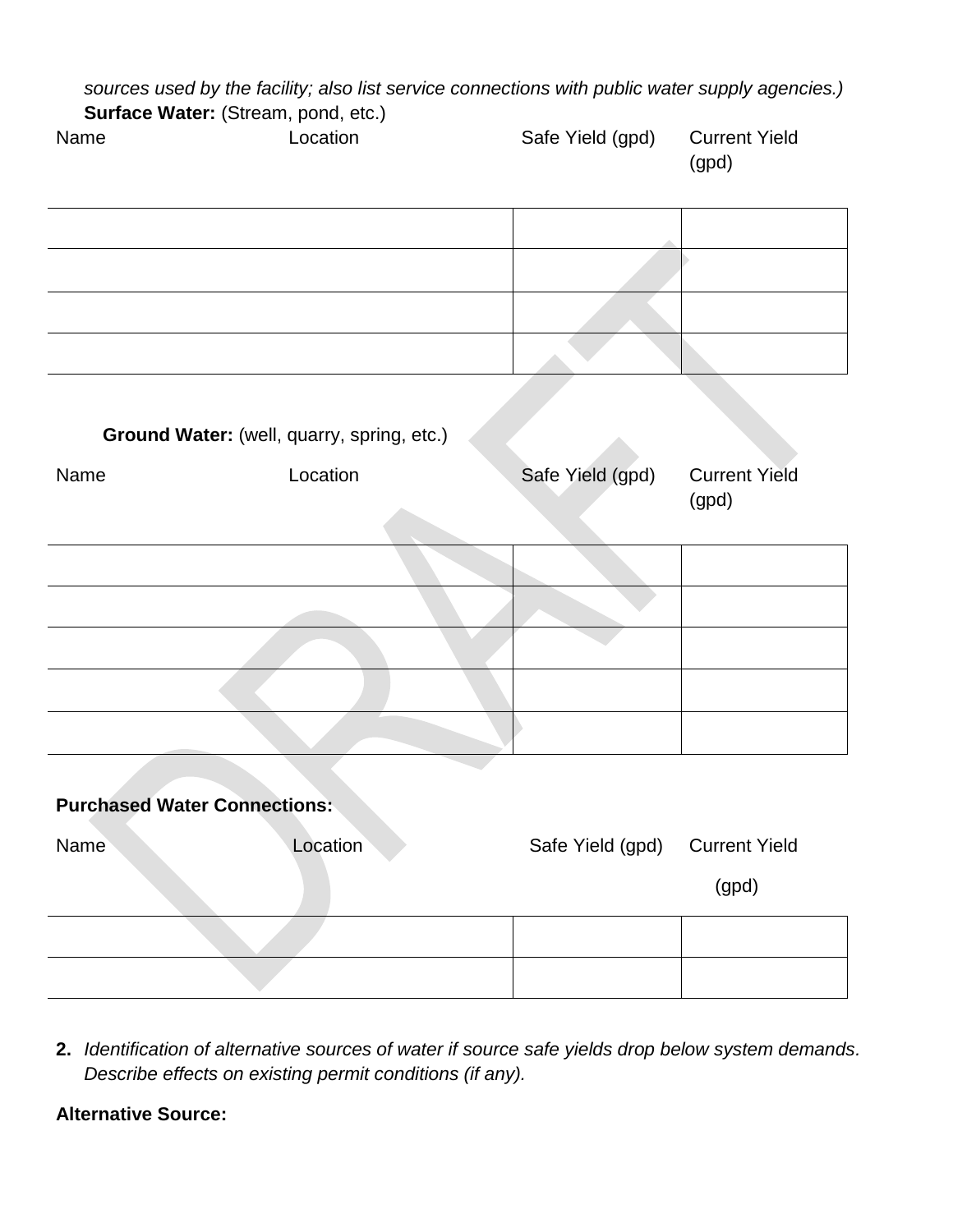*sources used by the facility; also list service connections with public water supply agencies.)*  **Surface Water:** (Stream, pond, etc.)

| 3011a<br>Name                              | Location | Safe Yield (gpd) | <b>Current Yield</b><br>(gpd) |
|--------------------------------------------|----------|------------------|-------------------------------|
|                                            |          |                  |                               |
|                                            |          |                  |                               |
| Ground Water: (well, quarry, spring, etc.) |          |                  |                               |
| Name                                       | Location | Safe Yield (gpd) | <b>Current Yield</b><br>(gpd) |
|                                            |          |                  |                               |
|                                            |          |                  |                               |
|                                            |          |                  |                               |
|                                            |          |                  |                               |
| <b>Purchased Water Connections:</b>        |          |                  |                               |
| Name                                       | Location | Safe Yield (gpd) | <b>Current Yield</b><br>(gpd) |
|                                            |          |                  |                               |
|                                            |          |                  |                               |

**2.** *Identification of alternative sources of water if source safe yields drop below system demands. Describe effects on existing permit conditions (if any).* 

### **Alternative Source:**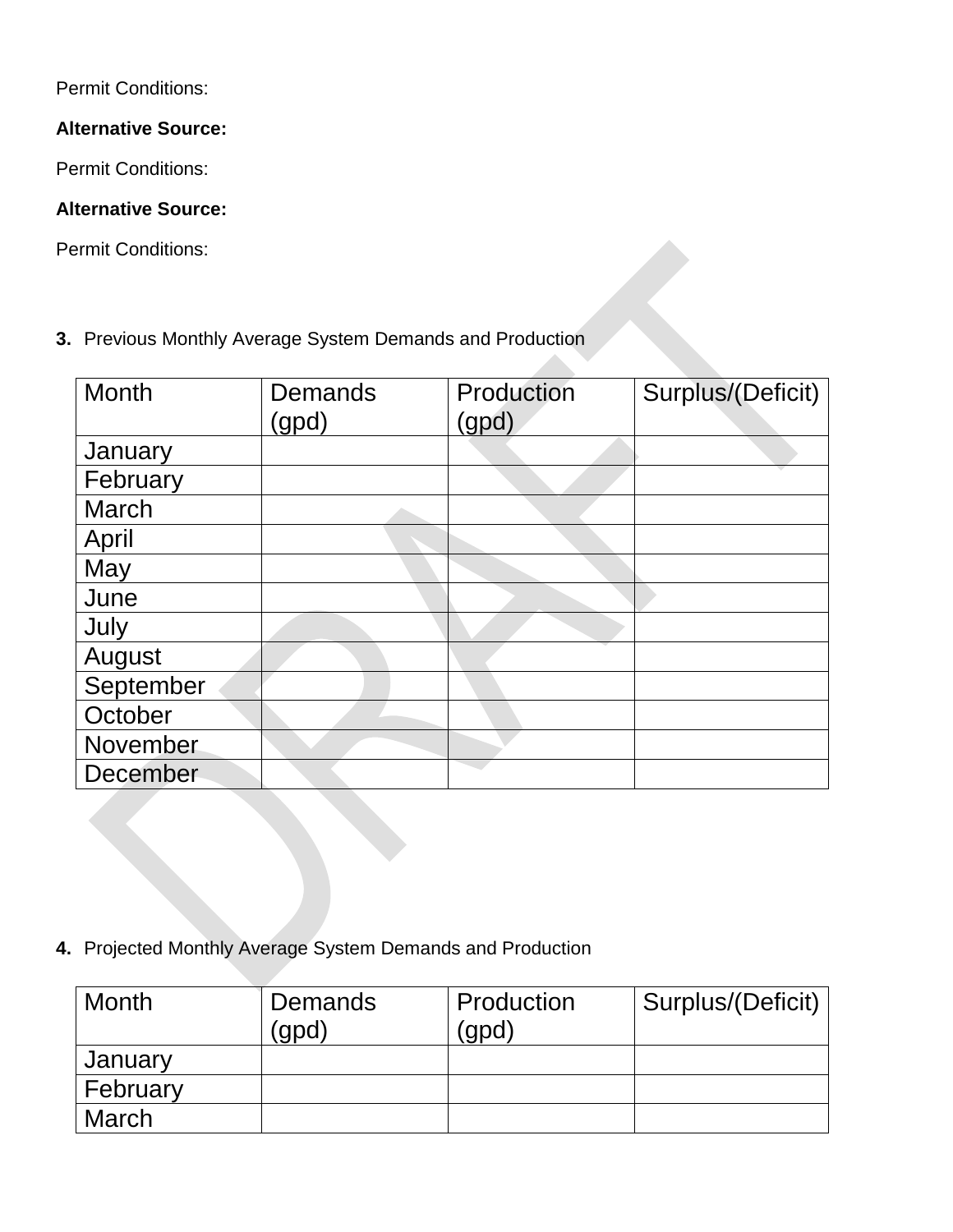Permit Conditions:

## **Alternative Source:**

Permit Conditions:

## **Alternative Source:**

Permit Conditions:

**3.** Previous Monthly Average System Demands and Production

| Month     | <b>Demands</b> | Production | Surplus/(Deficit) |
|-----------|----------------|------------|-------------------|
|           | (gpd)          | (gpd)      |                   |
| January   |                |            |                   |
| February  |                |            |                   |
| March     |                |            |                   |
| April     |                |            |                   |
| May       |                |            |                   |
| June      |                |            |                   |
| July      |                |            |                   |
| August    |                |            |                   |
| September |                |            |                   |
| October   |                |            |                   |
| November  |                |            |                   |
| December  |                |            |                   |

**4.** Projected Monthly Average System Demands and Production

| <b>Month</b> | <b>Demands</b><br>(gpd | Production<br>(gpd) | Surplus/(Deficit) |
|--------------|------------------------|---------------------|-------------------|
| January      |                        |                     |                   |
| February     |                        |                     |                   |
| March        |                        |                     |                   |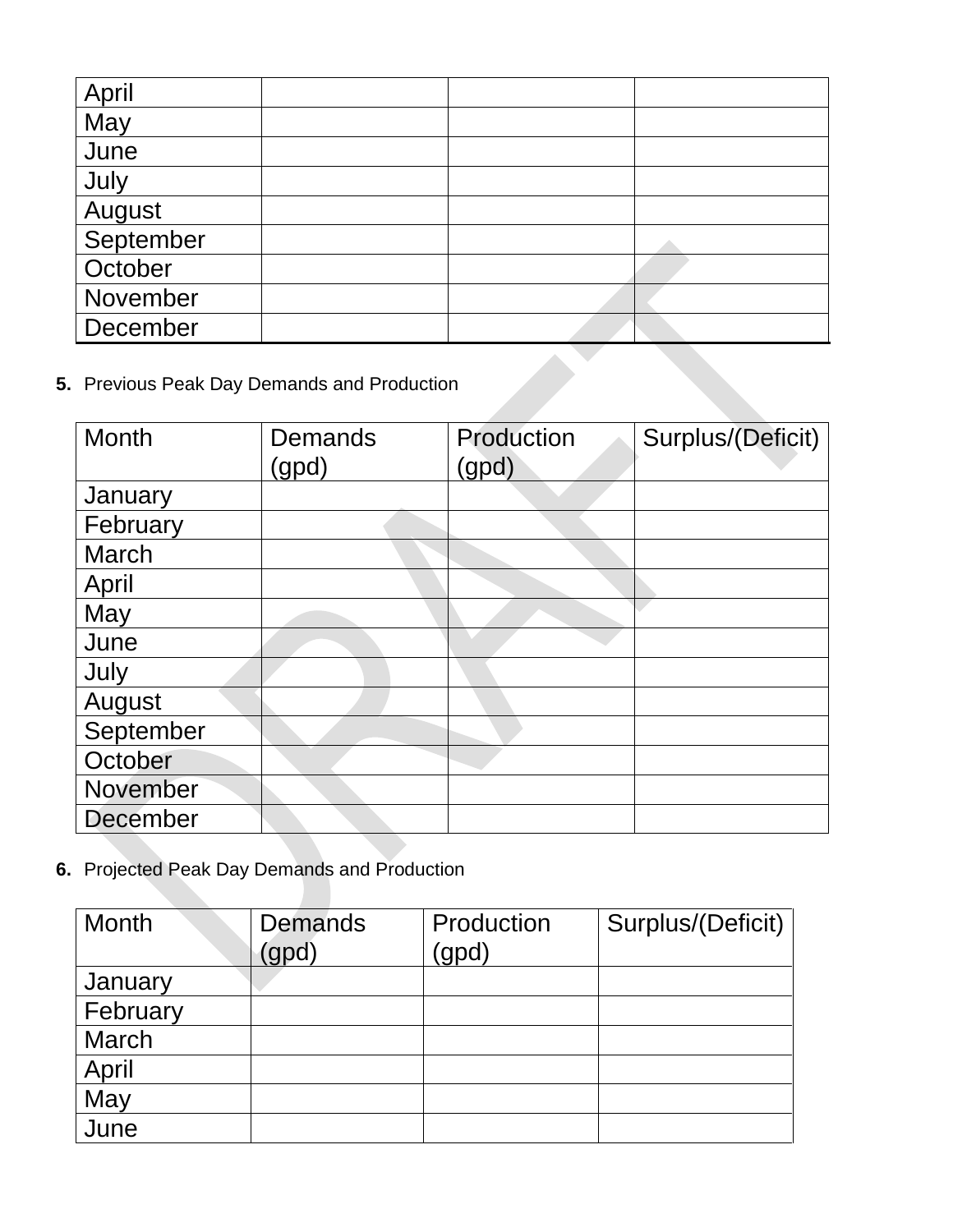| April                                    |  |  |  |
|------------------------------------------|--|--|--|
| May                                      |  |  |  |
| June                                     |  |  |  |
| July                                     |  |  |  |
| August                                   |  |  |  |
| September                                |  |  |  |
| October                                  |  |  |  |
| November                                 |  |  |  |
| December                                 |  |  |  |
| Previous Peak Day Demands and Production |  |  |  |

| Previous Peak Day Demands and Production |                  |                     |                   |
|------------------------------------------|------------------|---------------------|-------------------|
| Month                                    | Demands<br>(gpd) | Production<br>(gpd) | Surplus/(Deficit) |
| January                                  |                  |                     |                   |
| February                                 |                  |                     |                   |
| <b>March</b>                             |                  |                     |                   |
| April                                    |                  |                     |                   |
| May                                      |                  |                     |                   |
| June                                     |                  |                     |                   |
| July                                     |                  |                     |                   |
| August                                   |                  |                     |                   |
| September                                |                  |                     |                   |
| October                                  |                  |                     |                   |
| November                                 |                  |                     |                   |
| December                                 |                  |                     |                   |

**6.** Projected Peak Day Demands and Production

| Month    | <b>Demands</b><br>gpd | Production<br>(gpd) | Surplus/(Deficit) |
|----------|-----------------------|---------------------|-------------------|
| January  |                       |                     |                   |
| February |                       |                     |                   |
| March    |                       |                     |                   |
| April    |                       |                     |                   |
| May      |                       |                     |                   |
| June     |                       |                     |                   |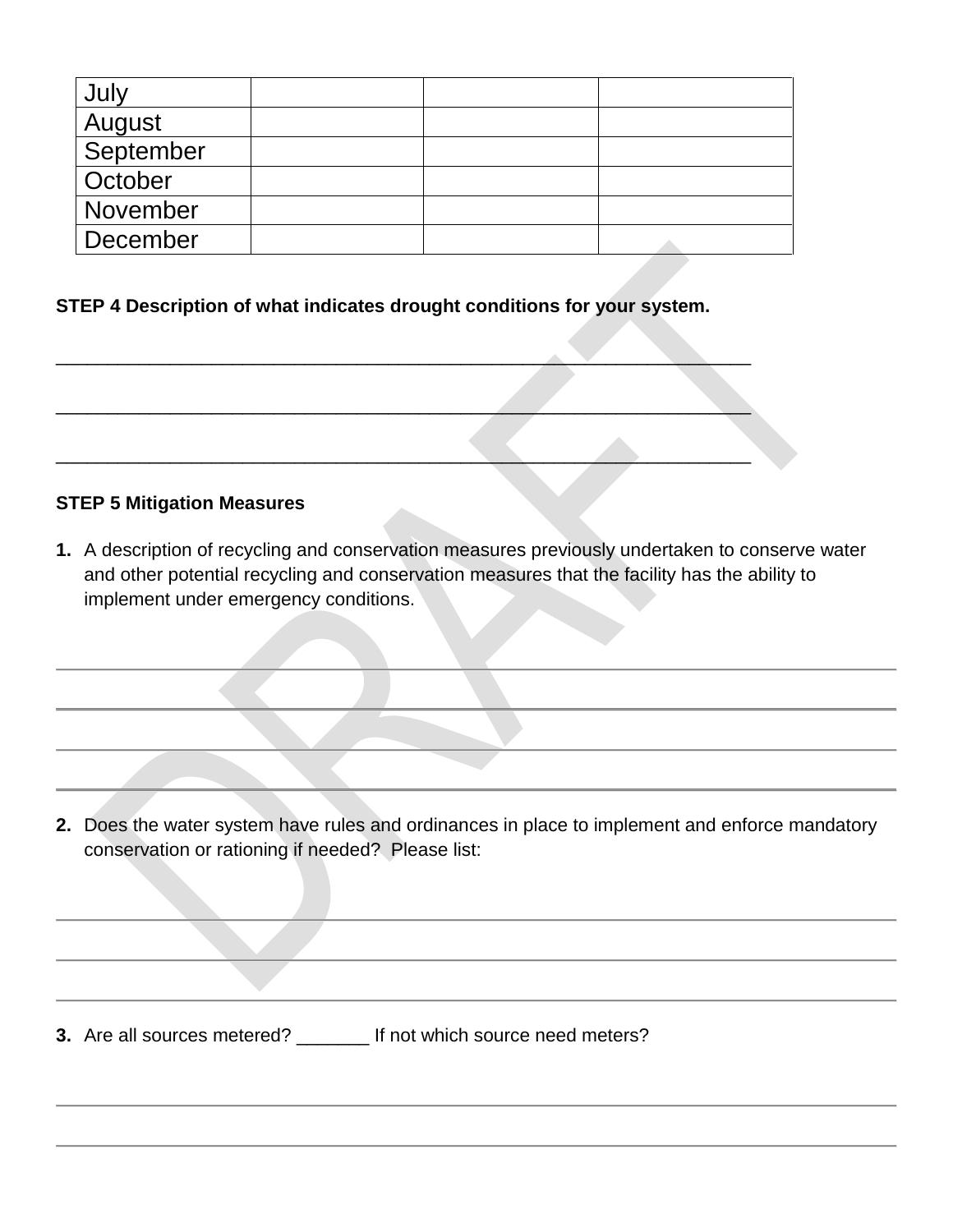| July      |  |  |
|-----------|--|--|
| August    |  |  |
| September |  |  |
| October   |  |  |
| November  |  |  |
| December  |  |  |

### **STEP 4 Description of what indicates drought conditions for your system.**

 $\overline{\phantom{a}}$  ,  $\overline{\phantom{a}}$  ,  $\overline{\phantom{a}}$  ,  $\overline{\phantom{a}}$  ,  $\overline{\phantom{a}}$  ,  $\overline{\phantom{a}}$  ,  $\overline{\phantom{a}}$  ,  $\overline{\phantom{a}}$  ,  $\overline{\phantom{a}}$  ,  $\overline{\phantom{a}}$  ,  $\overline{\phantom{a}}$  ,  $\overline{\phantom{a}}$  ,  $\overline{\phantom{a}}$  ,  $\overline{\phantom{a}}$  ,  $\overline{\phantom{a}}$  ,  $\overline{\phantom{a}}$ 

 $\overline{\phantom{a}}$  , and the contract of the contract of the contract of the contract of the contract of the contract of the contract of the contract of the contract of the contract of the contract of the contract of the contrac

 $\mathcal{L} = \{ \mathcal{L} \mid \mathcal{L} \text{ and } \mathcal{L} \text{ and } \mathcal{L} \text{ and } \mathcal{L} \text{ and } \mathcal{L} \text{ and } \mathcal{L} \text{ and } \mathcal{L} \text{ and } \mathcal{L} \text{ and } \mathcal{L} \text{ and } \mathcal{L} \text{ and } \mathcal{L} \text{ and } \mathcal{L} \text{ and } \mathcal{L} \text{ and } \mathcal{L} \text{ and } \mathcal{L} \text{ and } \mathcal{L} \text{ and } \mathcal{L} \text{ and } \mathcal{L} \text{ and } \mathcal{L$ 

# **STEP 5 Mitigation Measures**

**1.** A description of recycling and conservation measures previously undertaken to conserve water and other potential recycling and conservation measures that the facility has the ability to implement under emergency conditions.

**2.** Does the water system have rules and ordinances in place to implement and enforce mandatory conservation or rationing if needed? Please list:

**3.** Are all sources metered? If not which source need meters?